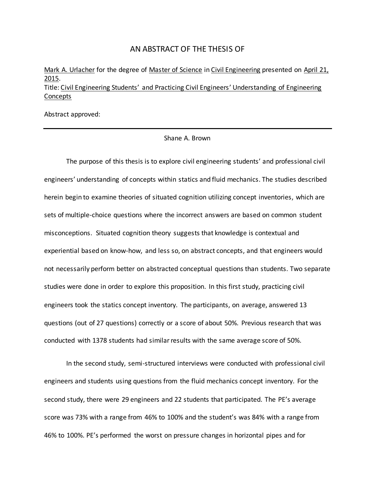#### AN ABSTRACT OF THE THESIS OF

Mark A. Urlacher for the degree of Master of Science in Civil Engineering presented on April 21, 2015. Title: Civil Engineering Students' and Practicing Civil Engineers' Understanding of Engineering Concepts

Abstract approved:

#### Shane A. Brown

The purpose of this thesis is to explore civil engineering students' and professional civil engineers' understanding of concepts within statics and fluid mechanics. The studies described herein begin to examine theories of situated cognition utilizing concept inventories, which are sets of multiple-choice questions where the incorrect answers are based on common student misconceptions. Situated cognition theory suggests that knowledge is contextual and experiential based on know-how, and less so, on abstract concepts, and that engineers would not necessarily perform better on abstracted conceptual questions than students. Two separate studies were done in order to explore this proposition. In this first study, practicing civil engineers took the statics concept inventory. The participants, on average, answered 13 questions (out of 27 questions) correctly or a score of about 50%. Previous research that was conducted with 1378 students had similar results with the same average score of 50%.

In the second study, semi-structured interviews were conducted with professional civil engineers and students using questions from the fluid mechanics concept inventory. For the second study, there were 29 engineers and 22 students that participated. The PE's average score was 73% with a range from 46% to 100% and the student's was 84% with a range from 46% to 100%. PE's performed the worst on pressure changes in horizontal pipes and for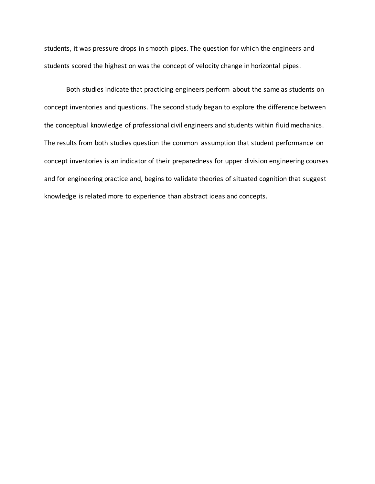students, it was pressure drops in smooth pipes. The question for which the engineers and students scored the highest on was the concept of velocity change in horizontal pipes.

Both studies indicate that practicing engineers perform about the same as students on concept inventories and questions. The second study began to explore the difference between the conceptual knowledge of professional civil engineers and students within fluid mechanics. The results from both studies question the common assumption that student performance on concept inventories is an indicator of their preparedness for upper division engineering courses and for engineering practice and, begins to validate theories of situated cognition that suggest knowledge is related more to experience than abstract ideas and concepts.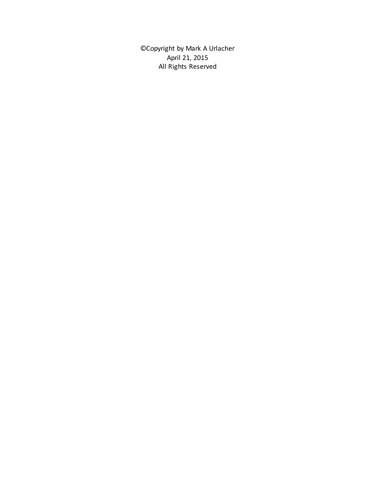©Copyright by Mark A Urlacher April 21, 2015 All Rights Reserved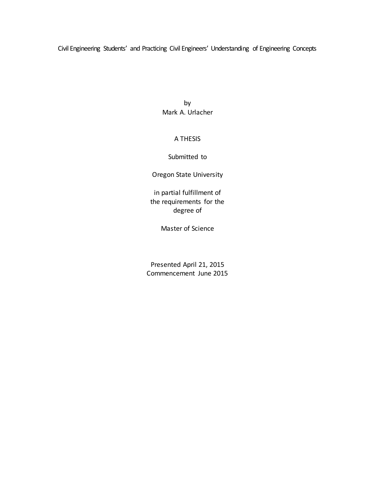Civil Engineering Students' and Practicing Civil Engineers' Understanding of Engineering Concepts

by Mark A. Urlacher

#### A THESIS

#### Submitted to

Oregon State University

in partial fulfillment of the requirements for the degree of

Master of Science

Presented April 21, 2015 Commencement June 2015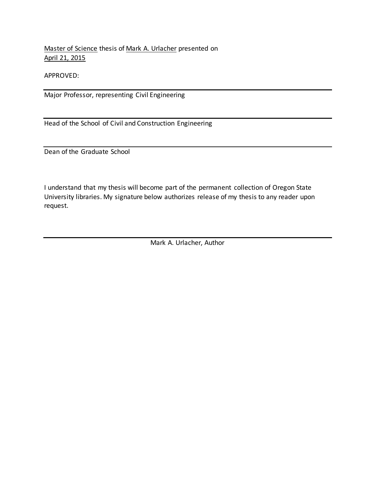Master of Science thesis of Mark A. Urlacher presented on April 21, 2015

APPROVED:

Major Professor, representing Civil Engineering

Head of the School of Civil and Construction Engineering

Dean of the Graduate School

I understand that my thesis will become part of the permanent collection of Oregon State University libraries. My signature below authorizes release of my thesis to any reader upon request.

Mark A. Urlacher, Author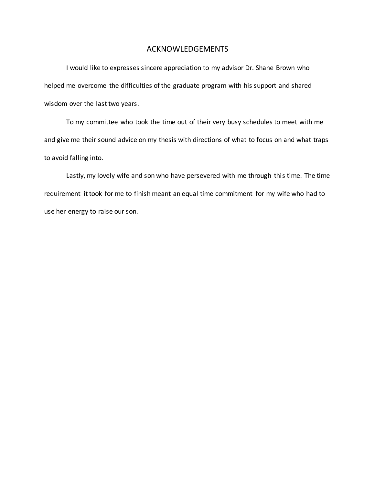#### ACKNOWLEDGEMENTS

I would like to expresses sincere appreciation to my advisor Dr. Shane Brown who helped me overcome the difficulties of the graduate program with his support and shared wisdom over the last two years.

To my committee who took the time out of their very busy schedules to meet with me and give me their sound advice on my thesis with directions of what to focus on and what traps to avoid falling into.

Lastly, my lovely wife and son who have persevered with me through this time. The time requirement it took for me to finish meant an equal time commitment for my wife who had to use her energy to raise our son.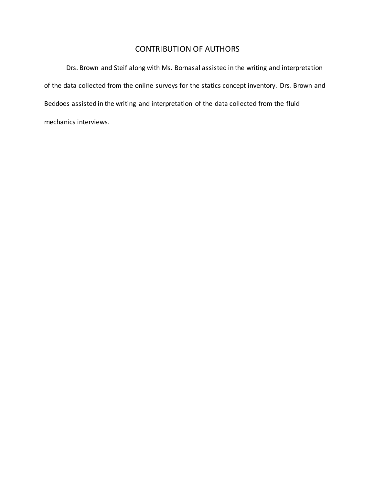### CONTRIBUTION OF AUTHORS

Drs. Brown and Steif along with Ms. Bornasal assisted in the writing and interpretation of the data collected from the online surveys for the statics concept inventory. Drs. Brown and Beddoes assisted in the writing and interpretation of the data collected from the fluid mechanics interviews.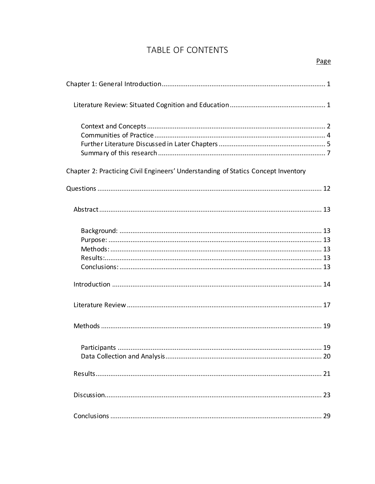### TABLE OF CONTENTS

| Chapter 2: Practicing Civil Engineers' Understanding of Statics Concept Inventory |
|-----------------------------------------------------------------------------------|
|                                                                                   |
|                                                                                   |
|                                                                                   |
|                                                                                   |
|                                                                                   |
|                                                                                   |
|                                                                                   |
|                                                                                   |
|                                                                                   |
|                                                                                   |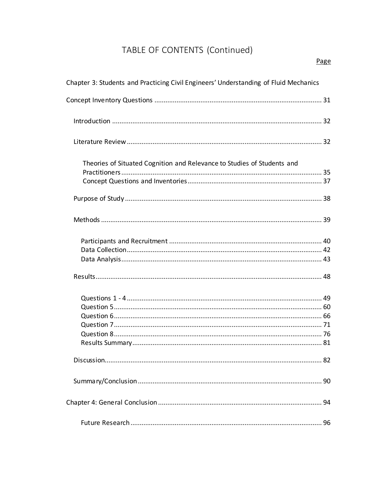# TABLE OF CONTENTS (Continued)

| Chapter 3: Students and Practicing Civil Engineers' Understanding of Fluid Mechanics |  |
|--------------------------------------------------------------------------------------|--|
|                                                                                      |  |
|                                                                                      |  |
|                                                                                      |  |
| Theories of Situated Cognition and Relevance to Studies of Students and              |  |
|                                                                                      |  |
|                                                                                      |  |
|                                                                                      |  |
|                                                                                      |  |
|                                                                                      |  |
|                                                                                      |  |
|                                                                                      |  |
|                                                                                      |  |
|                                                                                      |  |
|                                                                                      |  |
|                                                                                      |  |
|                                                                                      |  |
|                                                                                      |  |
|                                                                                      |  |
|                                                                                      |  |
|                                                                                      |  |
|                                                                                      |  |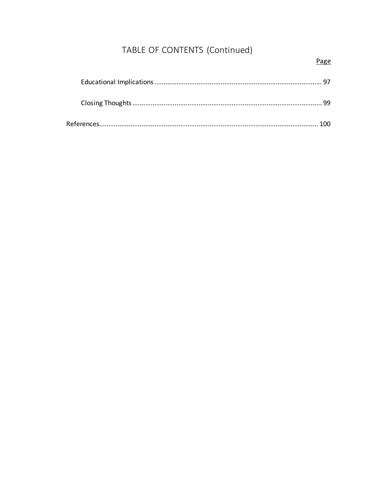# TABLE OF CONTENTS (Continued)

### Page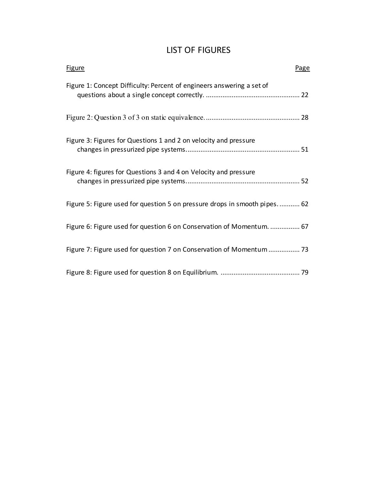### LIST OF FIGURES

| <b>Figure</b><br>Page                                                     |
|---------------------------------------------------------------------------|
| Figure 1: Concept Difficulty: Percent of engineers answering a set of     |
|                                                                           |
| Figure 3: Figures for Questions 1 and 2 on velocity and pressure          |
| Figure 4: figures for Questions 3 and 4 on Velocity and pressure          |
| Figure 5: Figure used for question 5 on pressure drops in smooth pipes 62 |
| Figure 6: Figure used for question 6 on Conservation of Momentum.  67     |
| Figure 7: Figure used for question 7 on Conservation of Momentum  73      |
|                                                                           |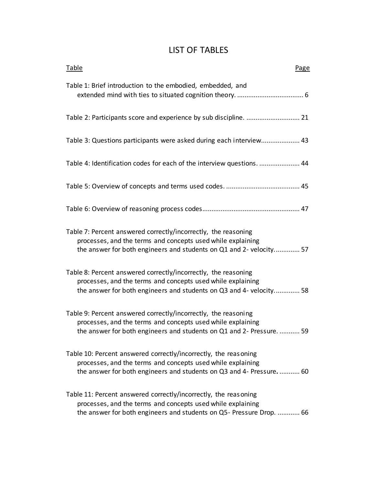| <b>LIST OF TABLES</b> |  |  |  |
|-----------------------|--|--|--|
|-----------------------|--|--|--|

| Table<br>Page                                                                                                                                                                                          |
|--------------------------------------------------------------------------------------------------------------------------------------------------------------------------------------------------------|
| Table 1: Brief introduction to the embodied, embedded, and                                                                                                                                             |
|                                                                                                                                                                                                        |
| Table 3: Questions participants were asked during each interview 43                                                                                                                                    |
| Table 4: Identification codes for each of the interview questions.  44                                                                                                                                 |
|                                                                                                                                                                                                        |
|                                                                                                                                                                                                        |
| Table 7: Percent answered correctly/incorrectly, the reasoning<br>processes, and the terms and concepts used while explaining<br>the answer for both engineers and students on Q1 and 2- velocity 57   |
| Table 8: Percent answered correctly/incorrectly, the reasoning<br>processes, and the terms and concepts used while explaining<br>the answer for both engineers and students on Q3 and 4- velocity 58   |
| Table 9: Percent answered correctly/incorrectly, the reasoning<br>processes, and the terms and concepts used while explaining<br>the answer for both engineers and students on Q1 and 2- Pressure.  59 |
| Table 10: Percent answered correctly/incorrectly, the reasoning<br>processes, and the terms and concepts used while explaining<br>the answer for both engineers and students on Q3 and 4- Pressure 60  |
| Table 11: Percent answered correctly/incorrectly, the reasoning<br>processes, and the terms and concepts used while explaining<br>the answer for both engineers and students on Q5- Pressure Drop.  66 |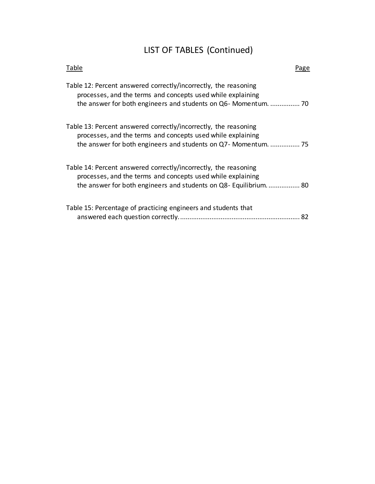# LIST OF TABLES (Continued)

| Table                                                                                                                                                                                              | Page |
|----------------------------------------------------------------------------------------------------------------------------------------------------------------------------------------------------|------|
| Table 12: Percent answered correctly/incorrectly, the reasoning<br>processes, and the terms and concepts used while explaining                                                                     |      |
| Table 13: Percent answered correctly/incorrectly, the reasoning<br>processes, and the terms and concepts used while explaining                                                                     |      |
| Table 14: Percent answered correctly/incorrectly, the reasoning<br>processes, and the terms and concepts used while explaining<br>the answer for both engineers and students on Q8- Equilibrium 80 |      |
| Table 15: Percentage of practicing engineers and students that                                                                                                                                     | 82   |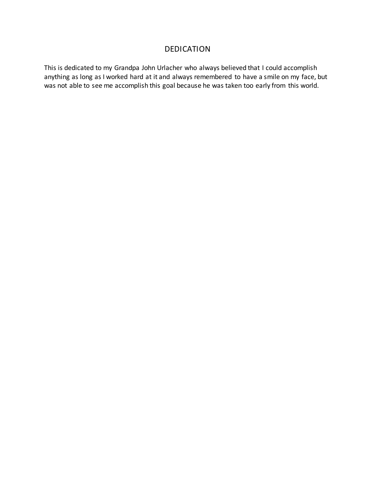### DEDICATION

This is dedicated to my Grandpa John Urlacher who always believed that I could accomplish anything as long as I worked hard at it and always remembered to have a smile on my face, but was not able to see me accomplish this goal because he was taken too early from this world.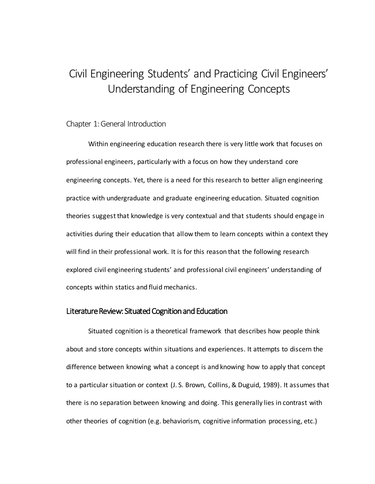# Civil Engineering Students' and Practicing Civil Engineers' Understanding of Engineering Concepts

#### Chapter 1: General Introduction

Within engineering education research there is very little work that focuses on professional engineers, particularly with a focus on how they understand core engineering concepts. Yet, there is a need for this research to better align engineering practice with undergraduate and graduate engineering education. Situated cognition theories suggest that knowledge is very contextual and that students should engage in activities during their education that allow them to learn concepts within a context they will find in their professional work. It is for this reason that the following research explored civil engineering students' and professional civil engineers' understanding of concepts within statics and fluid mechanics.

#### Literature Review: Situated Cognition and Education

Situated cognition is a theoretical framework that describes how people think about and store concepts within situations and experiences. It attempts to discern the difference between knowing what a concept is and knowing how to apply that concept to a particular situation or context (J. S. Brown, Collins, & Duguid, 1989). It assumes that there is no separation between knowing and doing. This generally lies in contrast with other theories of cognition (e.g. behaviorism, cognitive information processing, etc.)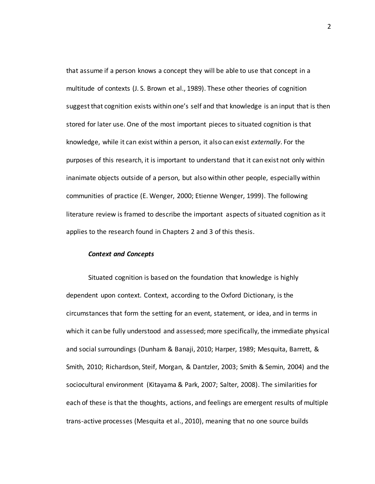that assume if a person knows a concept they will be able to use that concept in a multitude of contexts (J. S. Brown et al., 1989). These other theories of cognition suggest that cognition exists within one's self and that knowledge is an input that is then stored for later use. One of the most important pieces to situated cognition is that knowledge, while it can exist within a person, it also can exist *externally*. For the purposes of this research, it is important to understand that it can exist not only within inanimate objects outside of a person, but also within other people, especially within communities of practice (E. Wenger, 2000; Etienne Wenger, 1999). The following literature review is framed to describe the important aspects of situated cognition as it applies to the research found in Chapters 2 and 3 of this thesis.

#### *Context and Concepts*

Situated cognition is based on the foundation that knowledge is highly dependent upon context. Context, according to the Oxford Dictionary, is the circumstances that form the setting for an event, statement, or idea, and in terms in which it can be fully understood and assessed; more specifically, the immediate physical and social surroundings (Dunham & Banaji, 2010; Harper, 1989; Mesquita, Barrett, & Smith, 2010; Richardson, Steif, Morgan, & Dantzler, 2003; Smith & Semin, 2004) and the sociocultural environment (Kitayama & Park, 2007; Salter, 2008). The similarities for each of these is that the thoughts, actions, and feelings are emergent results of multiple trans-active processes (Mesquita et al., 2010), meaning that no one source builds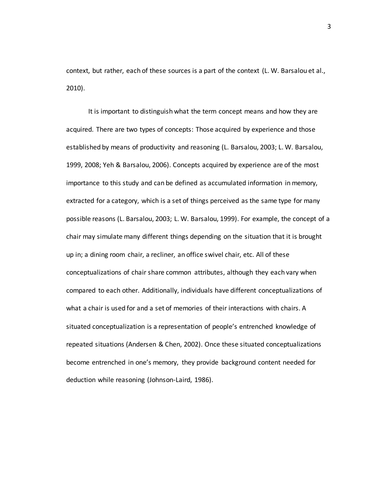context, but rather, each of these sources is a part of the context (L. W. Barsalou et al., 2010).

It is important to distinguish what the term concept means and how they are acquired. There are two types of concepts: Those acquired by experience and those established by means of productivity and reasoning (L. Barsalou, 2003; L. W. Barsalou, 1999, 2008; Yeh & Barsalou, 2006). Concepts acquired by experience are of the most importance to this study and can be defined as accumulated information in memory, extracted for a category, which is a set of things perceived as the same type for many possible reasons (L. Barsalou, 2003; L. W. Barsalou, 1999). For example, the concept of a chair may simulate many different things depending on the situation that it is brought up in; a dining room chair, a recliner, an office swivel chair, etc. All of these conceptualizations of chair share common attributes, although they each vary when compared to each other. Additionally, individuals have different conceptualizations of what a chair is used for and a set of memories of their interactions with chairs. A situated conceptualization is a representation of people's entrenched knowledge of repeated situations (Andersen & Chen, 2002). Once these situated conceptualizations become entrenched in one's memory, they provide background content needed for deduction while reasoning (Johnson-Laird, 1986).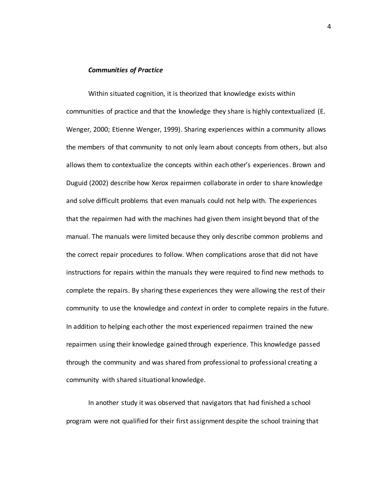#### *Communities of Practice*

Within situated cognition, it is theorized that knowledge exists within communities of practice and that the knowledge they share is highly contextualized (E. Wenger, 2000; Etienne Wenger, 1999). Sharing experiences within a community allows the members of that community to not only learn about concepts from others, but also allows them to contextualize the concepts within each other's experiences. Brown and Duguid (2002) describe how Xerox repairmen collaborate in order to share knowledge and solve difficult problems that even manuals could not help with. The experiences that the repairmen had with the machines had given them insight beyond that of the manual. The manuals were limited because they only describe common problems and the correct repair procedures to follow. When complications arose that did not have instructions for repairs within the manuals they were required to find new methods to complete the repairs. By sharing these experiences they were allowing the rest of their community to use the knowledge and *context* in order to complete repairs in the future. In addition to helping each other the most experienced repairmen trained the new repairmen using their knowledge gained through experience. This knowledge passed through the community and was shared from professional to professional creating a community with shared situational knowledge.

In another study it was observed that navigators that had finished a school program were not qualified for their first assignment despite the school training that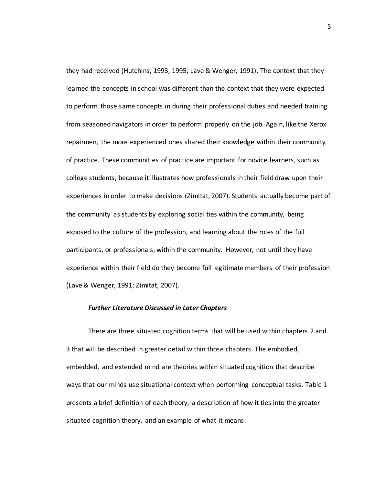they had received (Hutchins, 1993, 1995; Lave & Wenger, 1991). The context that they learned the concepts in school was different than the context that they were expected to perform those same concepts in during their professional duties and needed training from seasoned navigators in order to perform properly on the job. Again, like the Xerox repairmen, the more experienced ones shared their knowledge within their community of practice. These communities of practice are important for novice learners, such as college students, because it illustrates how professionals in their field draw upon their experiences in order to make decisions (Zimitat, 2007). Students actually become part of the community as students by exploring social ties within the community, being exposed to the culture of the profession, and learning about the roles of the full participants, or professionals, within the community. However, not until they have experience within their field do they become full legitimate members of their profession (Lave & Wenger, 1991; Zimitat, 2007).

#### *Further Literature Discussed in Later Chapters*

There are three situated cognition terms that will be used within chapters 2 and 3 that will be described in greater detail within those chapters. The embodied, embedded, and extended mind are theories within situated cognition that describe ways that our minds use situational context when performing conceptual tasks. Table 1 presents a brief definition of each theory, a description of how it ties into the greater situated cognition theory, and an example of what it means.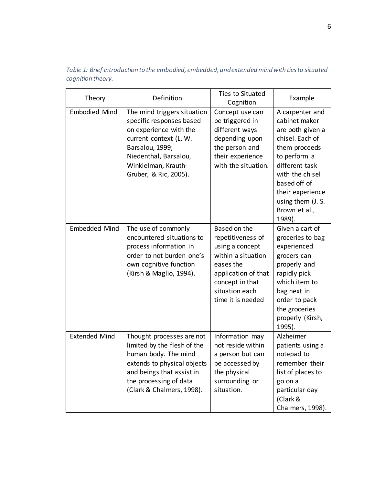| Table 1: Brief introduction to the embodied, embedded, and extended mind with ties to situated |  |  |
|------------------------------------------------------------------------------------------------|--|--|
| cognition theory.                                                                              |  |  |

| Theory               | Definition                                                                                                                                                                                              | Ties to Situated<br>Cognition                                                                                                                                            | Example                                                                                                                                                                                                                           |
|----------------------|---------------------------------------------------------------------------------------------------------------------------------------------------------------------------------------------------------|--------------------------------------------------------------------------------------------------------------------------------------------------------------------------|-----------------------------------------------------------------------------------------------------------------------------------------------------------------------------------------------------------------------------------|
| <b>Embodied Mind</b> | The mind triggers situation<br>specific responses based<br>on experience with the<br>current context (L. W.<br>Barsalou, 1999;<br>Niedenthal, Barsalou,<br>Winkielman, Krauth-<br>Gruber, & Ric, 2005). | Concept use can<br>be triggered in<br>different ways<br>depending upon<br>the person and<br>their experience<br>with the situation.                                      | A carpenter and<br>cabinet maker<br>are both given a<br>chisel. Each of<br>them proceeds<br>to perform a<br>different task<br>with the chisel<br>based off of<br>their experience<br>using them (J. S.<br>Brown et al.,<br>1989). |
| Embedded Mind        | The use of commonly<br>encountered situations to<br>process information in<br>order to not burden one's<br>own cognitive function<br>(Kirsh & Maglio, 1994).                                            | Based on the<br>repetitiveness of<br>using a concept<br>within a situation<br>eases the<br>application of that<br>concept in that<br>situation each<br>time it is needed | Given a cart of<br>groceries to bag<br>experienced<br>grocers can<br>properly and<br>rapidly pick<br>which item to<br>bag next in<br>order to pack<br>the groceries<br>properly (Kirsh,<br>1995).                                 |
| <b>Extended Mind</b> | Thought processes are not<br>limited by the flesh of the<br>human body. The mind<br>extends to physical objects<br>and beings that assist in<br>the processing of data<br>(Clark & Chalmers, 1998).     | Information may<br>not reside within<br>a person but can<br>be accessed by<br>the physical<br>surrounding or<br>situation.                                               | Alzheimer<br>patients using a<br>notepad to<br>remember their<br>list of places to<br>go on a<br>particular day<br>(Clark &<br>Chalmers, 1998).                                                                                   |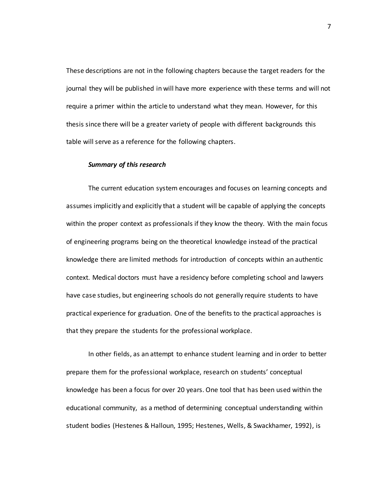These descriptions are not in the following chapters because the target readers for the journal they will be published in will have more experience with these terms and will not require a primer within the article to understand what they mean. However, for this thesis since there will be a greater variety of people with different backgrounds this table will serve as a reference for the following chapters.

#### *Summary of this research*

The current education system encourages and focuses on learning concepts and assumes implicitly and explicitly that a student will be capable of applying the concepts within the proper context as professionals if they know the theory. With the main focus of engineering programs being on the theoretical knowledge instead of the practical knowledge there are limited methods for introduction of concepts within an authentic context. Medical doctors must have a residency before completing school and lawyers have case studies, but engineering schools do not generally require students to have practical experience for graduation. One of the benefits to the practical approaches is that they prepare the students for the professional workplace.

In other fields, as an attempt to enhance student learning and in order to better prepare them for the professional workplace, research on students' conceptual knowledge has been a focus for over 20 years. One tool that has been used within the educational community, as a method of determining conceptual understanding within student bodies (Hestenes & Halloun, 1995; Hestenes, Wells, & Swackhamer, 1992), is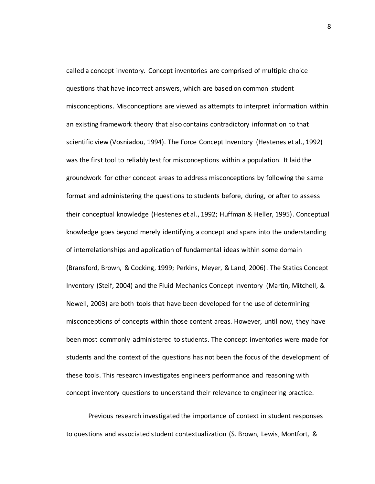called a concept inventory. Concept inventories are comprised of multiple choice questions that have incorrect answers, which are based on common student misconceptions. Misconceptions are viewed as attempts to interpret information within an existing framework theory that also contains contradictory information to that scientific view (Vosniadou, 1994). The Force Concept Inventory (Hestenes et al., 1992) was the first tool to reliably test for misconceptions within a population. It laid the groundwork for other concept areas to address misconceptions by following the same format and administering the questions to students before, during, or after to assess their conceptual knowledge (Hestenes et al., 1992; Huffman & Heller, 1995). Conceptual knowledge goes beyond merely identifying a concept and spans into the understanding of interrelationships and application of fundamental ideas within some domain (Bransford, Brown, & Cocking, 1999; Perkins, Meyer, & Land, 2006). The Statics Concept Inventory (Steif, 2004) and the Fluid Mechanics Concept Inventory (Martin, Mitchell, & Newell, 2003) are both tools that have been developed for the use of determining misconceptions of concepts within those content areas. However, until now, they have been most commonly administered to students. The concept inventories were made for students and the context of the questions has not been the focus of the development of these tools. This research investigates engineers performance and reasoning with concept inventory questions to understand their relevance to engineering practice.

Previous research investigated the importance of context in student responses to questions and associated student contextualization (S. Brown, Lewis, Montfort, &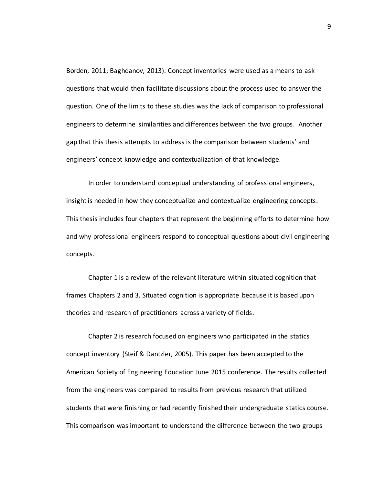Borden, 2011; Baghdanov, 2013). Concept inventories were used as a means to ask questions that would then facilitate discussions about the process used to answer the question. One of the limits to these studies was the lack of comparison to professional engineers to determine similarities and differences between the two groups. Another gap that this thesis attempts to address is the comparison between students' and engineers' concept knowledge and contextualization of that knowledge.

In order to understand conceptual understanding of professional engineers, insight is needed in how they conceptualize and contextualize engineering concepts. This thesis includes four chapters that represent the beginning efforts to determine how and why professional engineers respond to conceptual questions about civil engineering concepts.

Chapter 1 is a review of the relevant literature within situated cognition that frames Chapters 2 and 3. Situated cognition is appropriate because it is based upon theories and research of practitioners across a variety of fields.

Chapter 2 is research focused on engineers who participated in the statics concept inventory (Steif & Dantzler, 2005). This paper has been accepted to the American Society of Engineering Education June 2015 conference. The results collected from the engineers was compared to results from previous research that utilized students that were finishing or had recently finished their undergraduate statics course. This comparison was important to understand the difference between the two groups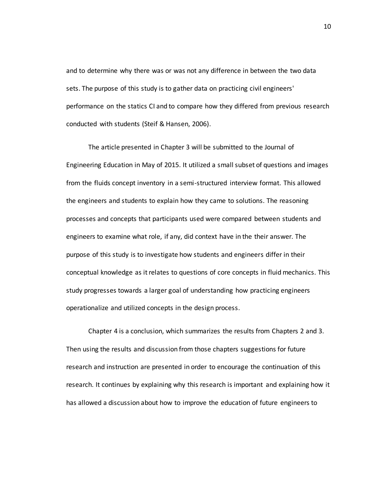and to determine why there was or was not any difference in between the two data sets. The purpose of this study is to gather data on practicing civil engineers' performance on the statics CI and to compare how they differed from previous research conducted with students (Steif & Hansen, 2006).

The article presented in Chapter 3 will be submitted to the Journal of Engineering Education in May of 2015. It utilized a small subset of questions and images from the fluids concept inventory in a semi-structured interview format. This allowed the engineers and students to explain how they came to solutions. The reasoning processes and concepts that participants used were compared between students and engineers to examine what role, if any, did context have in the their answer. The purpose of this study is to investigate how students and engineers differ in their conceptual knowledge as it relates to questions of core concepts in fluid mechanics. This study progresses towards a larger goal of understanding how practicing engineers operationalize and utilized concepts in the design process.

Chapter 4 is a conclusion, which summarizes the results from Chapters 2 and 3. Then using the results and discussion from those chapters suggestions for future research and instruction are presented in order to encourage the continuation of this research. It continues by explaining why this research is important and explaining how it has allowed a discussion about how to improve the education of future engineers to

10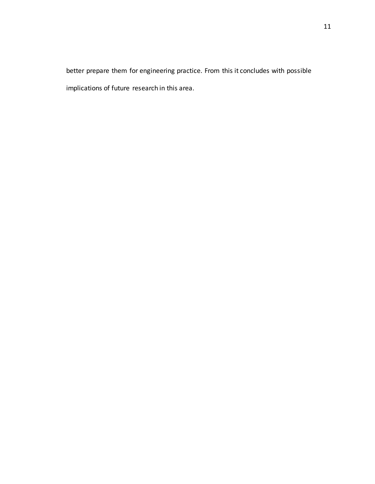better prepare them for engineering practice. From this it concludes with possible implications of future research in this area.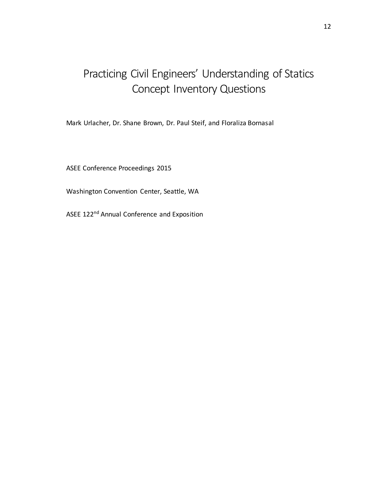# Practicing Civil Engineers' Understanding of Statics Concept Inventory Questions

Mark Urlacher, Dr. Shane Brown, Dr. Paul Steif, and Floraliza Bornasal

ASEE Conference Proceedings 2015

Washington Convention Center, Seattle, WA

ASEE 122nd Annual Conference and Exposition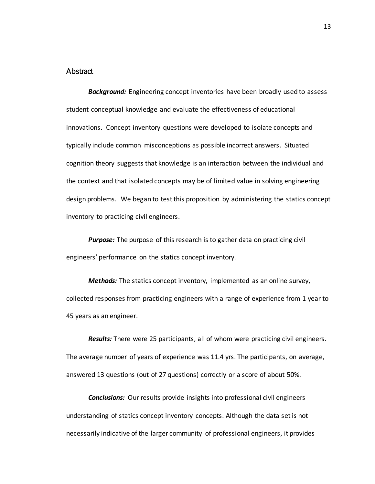#### Abstract

*Background:* Engineering concept inventories have been broadly used to assess student conceptual knowledge and evaluate the effectiveness of educational innovations. Concept inventory questions were developed to isolate concepts and typically include common misconceptions as possible incorrect answers. Situated cognition theory suggests that knowledge is an interaction between the individual and the context and that isolated concepts may be of limited value in solving engineering design problems. We began to test this proposition by administering the statics concept inventory to practicing civil engineers.

*Purpose:* The purpose of this research is to gather data on practicing civil engineers' performance on the statics concept inventory.

*Methods:* The statics concept inventory, implemented as an online survey, collected responses from practicing engineers with a range of experience from 1 year to 45 years as an engineer.

*Results:* There were 25 participants, all of whom were practicing civil engineers. The average number of years of experience was 11.4 yrs. The participants, on average, answered 13 questions (out of 27 questions) correctly or a score of about 50%.

*Conclusions:* Our results provide insights into professional civil engineers understanding of statics concept inventory concepts. Although the data set is not necessarily indicative of the larger community of professional engineers, it provides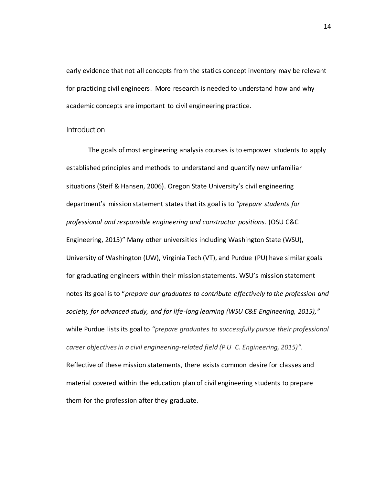early evidence that not all concepts from the statics concept inventory may be relevant for practicing civil engineers. More research is needed to understand how and why academic concepts are important to civil engineering practice.

#### **Introduction**

The goals of most engineering analysis courses is to empower students to apply established principles and methods to understand and quantify new unfamiliar situations (Steif & Hansen, 2006). Oregon State University's civil engineering department's mission statement states that its goal is to *"prepare students for professional and responsible engineering and constructor positions*. (OSU C&C Engineering, 2015)" Many other universities including Washington State (WSU), University of Washington (UW), Virginia Tech (VT), and Purdue (PU) have similar goals for graduating engineers within their mission statements. WSU's mission statement notes its goal is to "*prepare our graduates to contribute effectively to the profession and society, for advanced study, and for life-long learning (WSU C&E Engineering, 2015),"* while Purdue lists its goal to *"prepare graduates to successfully pursue their professional career objectives in a civil engineering-related field (P U C. Engineering, 2015)".*  Reflective of these mission statements, there exists common desire for classes and material covered within the education plan of civil engineering students to prepare them for the profession after they graduate.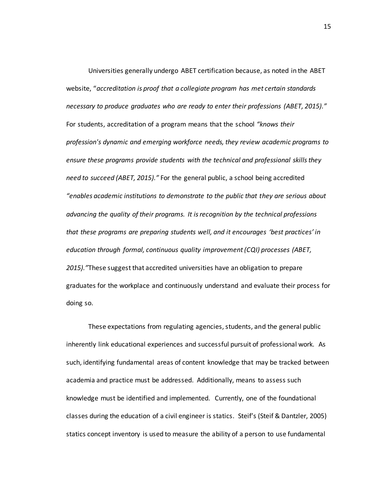Universities generally undergo ABET certification because, as noted in the ABET website, "*accreditation is proof that a collegiate program has met certain standards necessary to produce graduates who are ready to enter their professions (ABET, 2015)."*  For students, accreditation of a program means that the school *"knows their profession's dynamic and emerging workforce needs, they review academic programs to ensure these programs provide students with the technical and professional skills they need to succeed (ABET, 2015)."* For the general public, a school being accredited *"enables academic institutions to demonstrate to the public that they are serious about advancing the quality of their programs. It is recognition by the technical professions that these programs are preparing students well, and it encourages 'best practices' in education through formal, continuous quality improvement (CQI) processes (ABET, 2015)."*These suggest that accredited universities have an obligation to prepare graduates for the workplace and continuously understand and evaluate their process for doing so.

These expectations from regulating agencies, students, and the general public inherently link educational experiences and successful pursuit of professional work. As such, identifying fundamental areas of content knowledge that may be tracked between academia and practice must be addressed. Additionally, means to assess such knowledge must be identified and implemented. Currently, one of the foundational classes during the education of a civil engineer is statics. Steif's (Steif & Dantzler, 2005) statics concept inventory is used to measure the ability of a person to use fundamental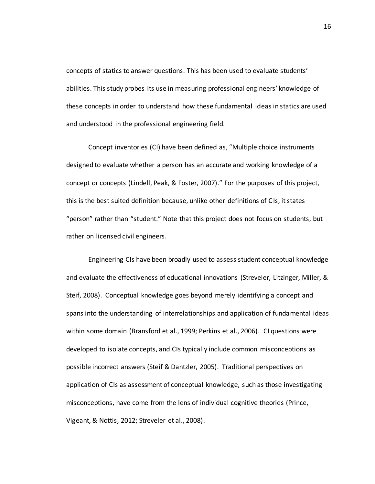concepts of statics to answer questions. This has been used to evaluate students' abilities. This study probes its use in measuring professional engineers' knowledge of these concepts in order to understand how these fundamental ideas in statics are used and understood in the professional engineering field.

Concept inventories (CI) have been defined as, "Multiple choice instruments designed to evaluate whether a person has an accurate and working knowledge of a concept or concepts (Lindell, Peak, & Foster, 2007)." For the purposes of this project, this is the best suited definition because, unlike other definitions of CIs, it states "person" rather than "student." Note that this project does not focus on students, but rather on licensed civil engineers.

Engineering CIs have been broadly used to assess student conceptual knowledge and evaluate the effectiveness of educational innovations (Streveler, Litzinger, Miller, & Steif, 2008). Conceptual knowledge goes beyond merely identifying a concept and spans into the understanding of interrelationships and application of fundamental ideas within some domain (Bransford et al., 1999; Perkins et al., 2006). CI questions were developed to isolate concepts, and CIs typically include common misconceptions as possible incorrect answers (Steif & Dantzler, 2005). Traditional perspectives on application of CIs as assessment of conceptual knowledge, such as those investigating misconceptions, have come from the lens of individual cognitive theories (Prince, Vigeant, & Nottis, 2012; Streveler et al., 2008).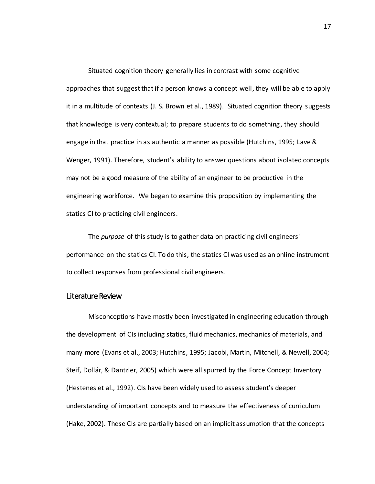Situated cognition theory generally lies in contrast with some cognitive approaches that suggest that if a person knows a concept well, they will be able to apply it in a multitude of contexts (J. S. Brown et al., 1989). Situated cognition theory suggests that knowledge is very contextual; to prepare students to do something, they should engage in that practice in as authentic a manner as possible (Hutchins, 1995; Lave & Wenger, 1991). Therefore, student's ability to answer questions about isolated concepts may not be a good measure of the ability of an engineer to be productive in the engineering workforce. We began to examine this proposition by implementing the statics CI to practicing civil engineers.

The *purpose* of this study is to gather data on practicing civil engineers' performance on the statics CI. To do this, the statics CI was used as an online instrument to collect responses from professional civil engineers.

#### Literature Review

Misconceptions have mostly been investigated in engineering education through the development of CIs including statics, fluid mechanics, mechanics of materials, and many more (Evans et al., 2003; Hutchins, 1995; Jacobi, Martin, Mitchell, & Newell, 2004; Steif, Dollár, & Dantzler, 2005) which were all spurred by the Force Concept Inventory (Hestenes et al., 1992). CIs have been widely used to assess student's deeper understanding of important concepts and to measure the effectiveness of curriculum (Hake, 2002). These CIs are partially based on an implicit assumption that the concepts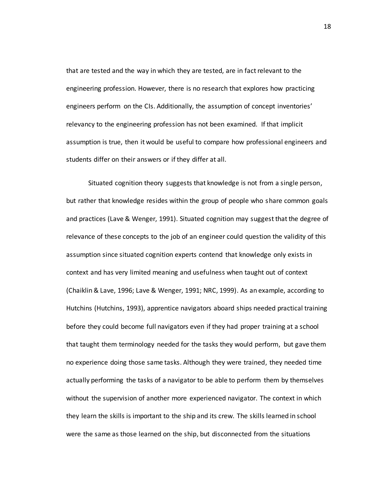that are tested and the way in which they are tested, are in fact relevant to the engineering profession. However, there is no research that explores how practicing engineers perform on the CIs. Additionally, the assumption of concept inventories' relevancy to the engineering profession has not been examined. If that implicit assumption is true, then it would be useful to compare how professional engineers and students differ on their answers or if they differ at all.

Situated cognition theory suggests that knowledge is not from a single person, but rather that knowledge resides within the group of people who share common goals and practices (Lave & Wenger, 1991). Situated cognition may suggest that the degree of relevance of these concepts to the job of an engineer could question the validity of this assumption since situated cognition experts contend that knowledge only exists in context and has very limited meaning and usefulness when taught out of context (Chaiklin & Lave, 1996; Lave & Wenger, 1991; NRC, 1999). As an example, according to Hutchins (Hutchins, 1993), apprentice navigators aboard ships needed practical training before they could become full navigators even if they had proper training at a school that taught them terminology needed for the tasks they would perform, but gave them no experience doing those same tasks. Although they were trained, they needed time actually performing the tasks of a navigator to be able to perform them by themselves without the supervision of another more experienced navigator. The context in which they learn the skills is important to the ship and its crew. The skills learned in school were the same as those learned on the ship, but disconnected from the situations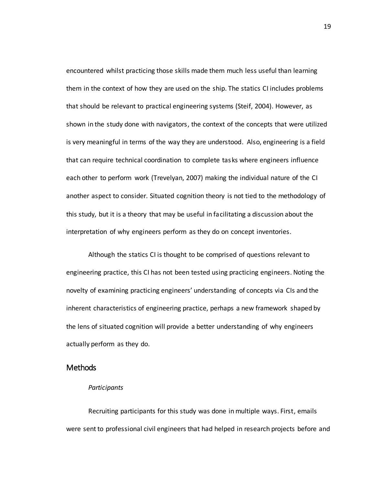encountered whilst practicing those skills made them much less useful than learning them in the context of how they are used on the ship. The statics CI includes problems that should be relevant to practical engineering systems (Steif, 2004). However, as shown in the study done with navigators, the context of the concepts that were utilized is very meaningful in terms of the way they are understood. Also, engineering is a field that can require technical coordination to complete tasks where engineers influence each other to perform work (Trevelyan, 2007) making the individual nature of the CI another aspect to consider. Situated cognition theory is not tied to the methodology of this study, but it is a theory that may be useful in facilitating a discussion about the interpretation of why engineers perform as they do on concept inventories.

Although the statics CI is thought to be comprised of questions relevant to engineering practice, this CI has not been tested using practicing engineers. Noting the novelty of examining practicing engineers' understanding of concepts via CIs and the inherent characteristics of engineering practice, perhaps a new framework shaped by the lens of situated cognition will provide a better understanding of why engineers actually perform as they do.

#### Methods

#### *Participants*

Recruiting participants for this study was done in multiple ways. First, emails were sent to professional civil engineers that had helped in research projects before and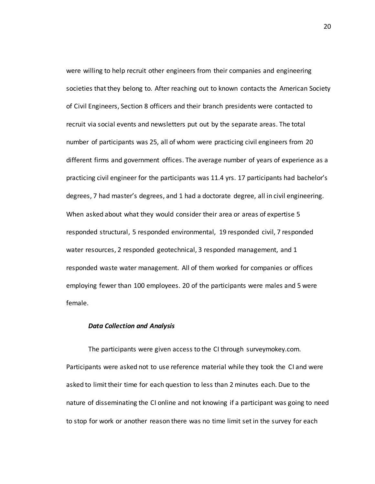were willing to help recruit other engineers from their companies and engineering societies that they belong to. After reaching out to known contacts the American Society of Civil Engineers, Section 8 officers and their branch presidents were contacted to recruit via social events and newsletters put out by the separate areas. The total number of participants was 25, all of whom were practicing civil engineers from 20 different firms and government offices. The average number of years of experience as a practicing civil engineer for the participants was 11.4 yrs. 17 participants had bachelor's degrees, 7 had master's degrees, and 1 had a doctorate degree, all in civil engineering. When asked about what they would consider their area or areas of expertise 5 responded structural, 5 responded environmental, 19 responded civil, 7 responded water resources, 2 responded geotechnical, 3 responded management, and 1 responded waste water management. All of them worked for companies or offices employing fewer than 100 employees. 20 of the participants were males and 5 were female.

#### *Data Collection and Analysis*

The participants were given access to the CI through surveymokey.com. Participants were asked not to use reference material while they took the CI and were asked to limit their time for each question to less than 2 minutes each. Due to the nature of disseminating the CI online and not knowing if a participant was going to need to stop for work or another reason there was no time limit set in the survey for each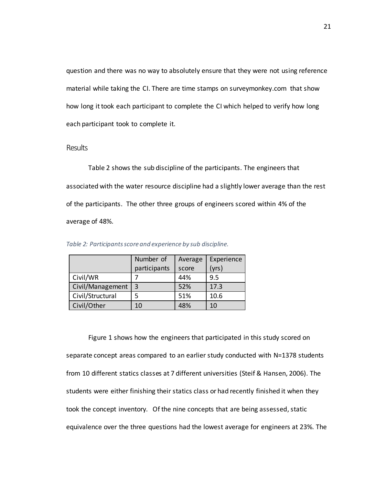question and there was no way to absolutely ensure that they were not using reference material while taking the CI. There are time stamps on surveymonkey.com that show how long it took each participant to complete the CI which helped to verify how long each participant took to complete it.

#### **Results**

Table 2 shows the sub discipline of the participants. The engineers that associated with the water resource discipline had a slightly lower average than the rest of the participants. The other three groups of engineers scored within 4% of the average of 48%.

|                  | Number of    | Average | Experience |
|------------------|--------------|---------|------------|
|                  | participants | score   | (yrs)      |
| Civil/WR         |              | 44%     | 9.5        |
| Civil/Management | 3            | 52%     | 17.3       |
| Civil/Structural |              | 51%     | 10.6       |
| Civil/Other      | 10           | 48%     | 10         |

*Table 2: Participants score and experience by sub discipline.* 

Figure 1 shows how the engineers that participated in this study scored on separate concept areas compared to an earlier study conducted with N=1378 students from 10 different statics classes at 7 different universities (Steif & Hansen, 2006). The students were either finishing their statics class or had recently finished it when they took the concept inventory. Of the nine concepts that are being assessed, static equivalence over the three questions had the lowest average for engineers at 23%. The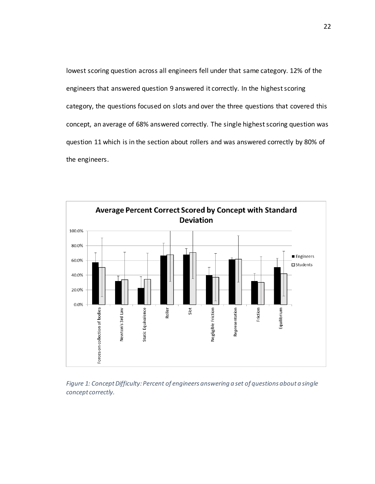lowest scoring question across all engineers fell under that same category. 12% of the engineers that answered question 9 answered it correctly. In the highest scoring category, the questions focused on slots and over the three questions that covered this concept, an average of 68% answered correctly. The single highest scoring question was question 11 which is in the section about rollers and was answered correctly by 80% of the engineers.



*Figure 1: Concept Difficulty: Percent of engineers answering a set of questions about a single concept correctly.*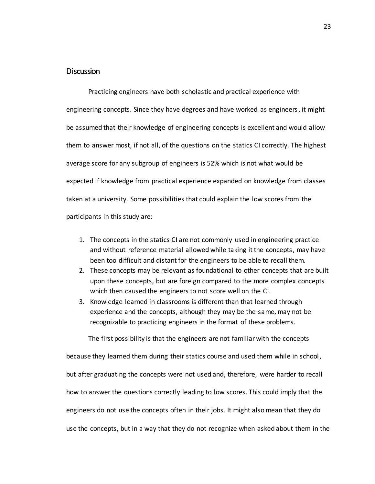# Discussion

Practicing engineers have both scholastic and practical experience with engineering concepts. Since they have degrees and have worked as engineers , it might be assumed that their knowledge of engineering concepts is excellent and would allow them to answer most, if not all, of the questions on the statics CI correctly. The highest average score for any subgroup of engineers is 52% which is not what would be expected if knowledge from practical experience expanded on knowledge from classes taken at a university. Some possibilities that could explain the low scores from the participants in this study are:

- 1. The concepts in the statics CI are not commonly used in engineering practice and without reference material allowed while taking it the concepts, may have been too difficult and distant for the engineers to be able to recall them.
- 2. These concepts may be relevant as foundational to other concepts that are built upon these concepts, but are foreign compared to the more complex concepts which then caused the engineers to not score well on the CI.
- 3. Knowledge learned in classrooms is different than that learned through experience and the concepts, although they may be the same, may not be recognizable to practicing engineers in the format of these problems.

The first possibility is that the engineers are not familiar with the concepts because they learned them during their statics course and used them while in school, but after graduating the concepts were not used and, therefore, were harder to recall how to answer the questions correctly leading to low scores. This could imply that the engineers do not use the concepts often in their jobs. It might also mean that they do use the concepts, but in a way that they do not recognize when asked about them in the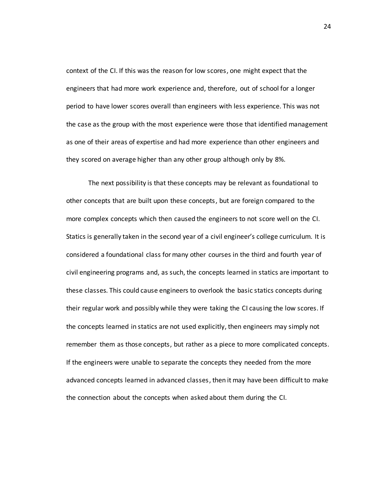context of the CI. If this was the reason for low scores, one might expect that the engineers that had more work experience and, therefore, out of school for a longer period to have lower scores overall than engineers with less experience. This was not the case as the group with the most experience were those that identified management as one of their areas of expertise and had more experience than other engineers and they scored on average higher than any other group although only by 8%.

The next possibility is that these concepts may be relevant as foundational to other concepts that are built upon these concepts, but are foreign compared to the more complex concepts which then caused the engineers to not score well on the CI. Statics is generally taken in the second year of a civil engineer's college curriculum. It is considered a foundational class for many other courses in the third and fourth year of civil engineering programs and, as such, the concepts learned in statics are important to these classes. This could cause engineers to overlook the basic statics concepts during their regular work and possibly while they were taking the CI causing the low scores. If the concepts learned in statics are not used explicitly, then engineers may simply not remember them as those concepts, but rather as a piece to more complicated concepts. If the engineers were unable to separate the concepts they needed from the more advanced concepts learned in advanced classes, then it may have been difficult to make the connection about the concepts when asked about them during the CI.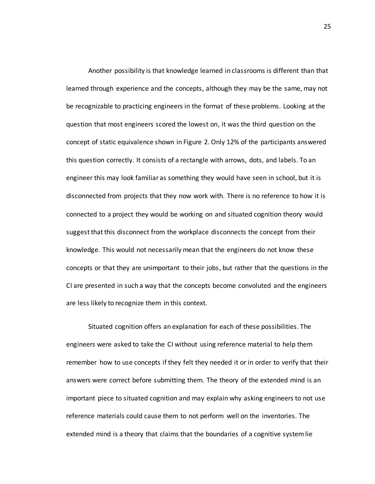Another possibility is that knowledge learned in classrooms is different than that learned through experience and the concepts, although they may be the same, may not be recognizable to practicing engineers in the format of these problems. Looking at the question that most engineers scored the lowest on, it was the third question on the concept of static equivalence shown in Figure 2. Only 12% of the participants answered this question correctly. It consists of a rectangle with arrows, dots, and labels. To an engineer this may look familiar as something they would have seen in school, but it is disconnected from projects that they now work with. There is no reference to how it is connected to a project they would be working on and situated cognition theory would suggest that this disconnect from the workplace disconnects the concept from their knowledge. This would not necessarily mean that the engineers do not know these concepts or that they are unimportant to their jobs, but rather that the questions in the CI are presented in such a way that the concepts become convoluted and the engineers are less likely to recognize them in this context.

Situated cognition offers an explanation for each of these possibilities. The engineers were asked to take the CI without using reference material to help them remember how to use concepts if they felt they needed it or in order to verify that their answers were correct before submitting them. The theory of the extended mind is an important piece to situated cognition and may explain why asking engineers to not use reference materials could cause them to not perform well on the inventories. The extended mind is a theory that claims that the boundaries of a cognitive system lie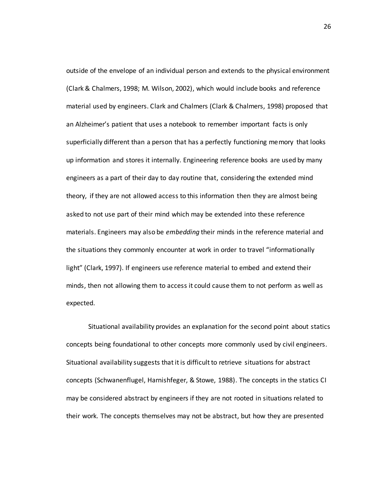outside of the envelope of an individual person and extends to the physical environment (Clark & Chalmers, 1998; M. Wilson, 2002), which would include books and reference material used by engineers. Clark and Chalmers (Clark & Chalmers, 1998) proposed that an Alzheimer's patient that uses a notebook to remember important facts is only superficially different than a person that has a perfectly functioning memory that looks up information and stores it internally. Engineering reference books are used by many engineers as a part of their day to day routine that, considering the extended mind theory, if they are not allowed access to this information then they are almost being asked to not use part of their mind which may be extended into these reference materials. Engineers may also be *embedding* their minds in the reference material and the situations they commonly encounter at work in order to travel "informationally light" (Clark, 1997). If engineers use reference material to embed and extend their minds, then not allowing them to access it could cause them to not perform as well as expected.

Situational availability provides an explanation for the second point about statics concepts being foundational to other concepts more commonly used by civil engineers. Situational availability suggests that it is difficult to retrieve situations for abstract concepts (Schwanenflugel, Harnishfeger, & Stowe, 1988). The concepts in the statics CI may be considered abstract by engineers if they are not rooted in situations related to their work. The concepts themselves may not be abstract, but how they are presented

26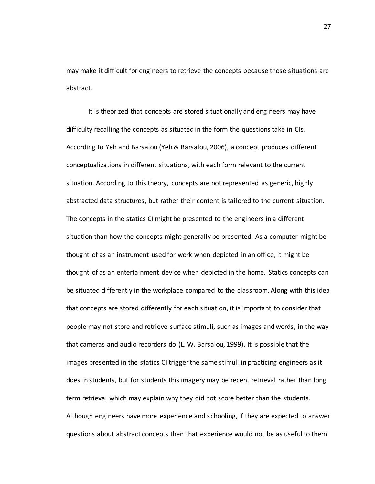may make it difficult for engineers to retrieve the concepts because those situations are abstract.

It is theorized that concepts are stored situationally and engineers may have difficulty recalling the concepts as situated in the form the questions take in CIs. According to Yeh and Barsalou (Yeh & Barsalou, 2006), a concept produces different conceptualizations in different situations, with each form relevant to the current situation. According to this theory, concepts are not represented as generic, highly abstracted data structures, but rather their content is tailored to the current situation. The concepts in the statics CI might be presented to the engineers in a different situation than how the concepts might generally be presented. As a computer might be thought of as an instrument used for work when depicted in an office, it might be thought of as an entertainment device when depicted in the home. Statics concepts can be situated differently in the workplace compared to the classroom. Along with this idea that concepts are stored differently for each situation, it is important to consider that people may not store and retrieve surface stimuli, such as images and words, in the way that cameras and audio recorders do (L. W. Barsalou, 1999). It is possible that the images presented in the statics CI trigger the same stimuli in practicing engineers as it does in students, but for students this imagery may be recent retrieval rather than long term retrieval which may explain why they did not score better than the students. Although engineers have more experience and schooling, if they are expected to answer questions about abstract concepts then that experience would not be as useful to them

27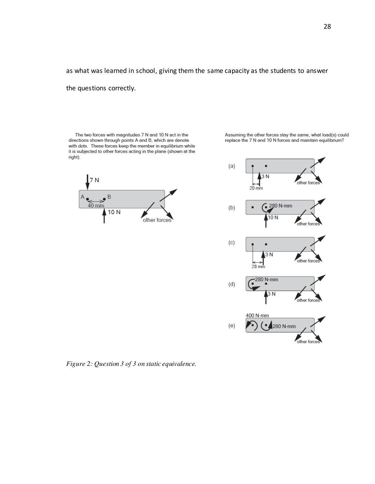as what was learned in school, giving them the same capacity as the students to answer

the questions correctly.

The two forces with magnitudes 7 N and 10 N act in the directions shown through points A and B, which are denote with dots. These forces keep the member in equilibrium while it is subjected to other forces acting in the plane (shown at the right).





Assuming the other forces stay the same, what load(s) could

replace the 7 N and 10 N forces and maintain equilibrium?

*Figure 2: Question 3 of 3 on static equivalence.*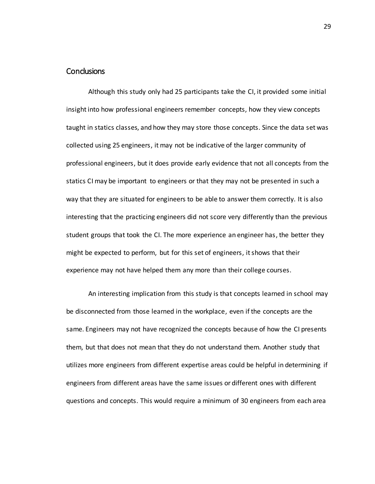# **Conclusions**

Although this study only had 25 participants take the CI, it provided some initial insight into how professional engineers remember concepts, how they view concepts taught in statics classes, and how they may store those concepts. Since the data set was collected using 25 engineers, it may not be indicative of the larger community of professional engineers, but it does provide early evidence that not all concepts from the statics CI may be important to engineers or that they may not be presented in such a way that they are situated for engineers to be able to answer them correctly. It is also interesting that the practicing engineers did not score very differently than the previous student groups that took the CI. The more experience an engineer has, the better they might be expected to perform, but for this set of engineers, it shows that their experience may not have helped them any more than their college courses.

An interesting implication from this study is that concepts learned in school may be disconnected from those learned in the workplace, even if the concepts are the same. Engineers may not have recognized the concepts because of how the CI presents them, but that does not mean that they do not understand them. Another study that utilizes more engineers from different expertise areas could be helpful in determining if engineers from different areas have the same issues or different ones with different questions and concepts. This would require a minimum of 30 engineers from each area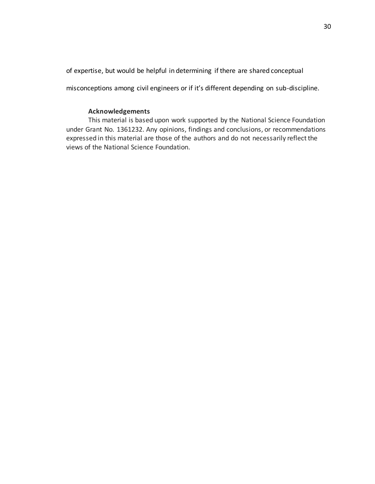of expertise, but would be helpful in determining if there are shared conceptual

misconceptions among civil engineers or if it's different depending on sub-discipline.

# **Acknowledgements**

This material is based upon work supported by the National Science Foundation under Grant No. 1361232. Any opinions, findings and conclusions, or recommendations expressed in this material are those of the authors and do not necessarily reflect the views of the National Science Foundation.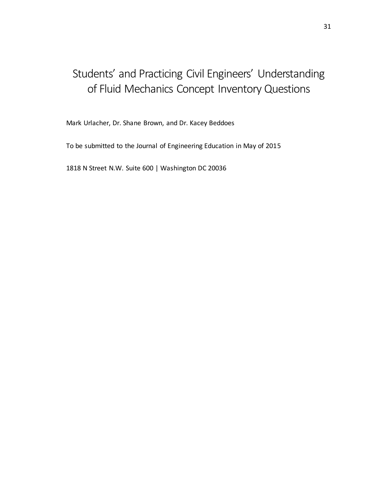# Students' and Practicing Civil Engineers' Understanding of Fluid Mechanics Concept Inventory Questions

Mark Urlacher, Dr. Shane Brown, and Dr. Kacey Beddoes

To be submitted to the Journal of Engineering Education in May of 2015

1818 N Street N.W. Suite 600 | Washington DC 20036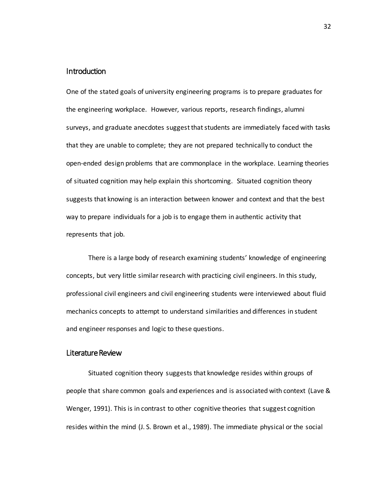# **Introduction**

One of the stated goals of university engineering programs is to prepare graduates for the engineering workplace. However, various reports, research findings, alumni surveys, and graduate anecdotes suggest that students are immediately faced with tasks that they are unable to complete; they are not prepared technically to conduct the open-ended design problems that are commonplace in the workplace. Learning theories of situated cognition may help explain this shortcoming. Situated cognition theory suggests that knowing is an interaction between knower and context and that the best way to prepare individuals for a job is to engage them in authentic activity that represents that job.

There is a large body of research examining students' knowledge of engineering concepts, but very little similar research with practicing civil engineers. In this study, professional civil engineers and civil engineering students were interviewed about fluid mechanics concepts to attempt to understand similarities and differences in student and engineer responses and logic to these questions.

# Literature Review

Situated cognition theory suggests that knowledge resides within groups of people that share common goals and experiences and is associated with context (Lave & Wenger, 1991). This is in contrast to other cognitive theories that suggest cognition resides within the mind (J. S. Brown et al., 1989). The immediate physical or the social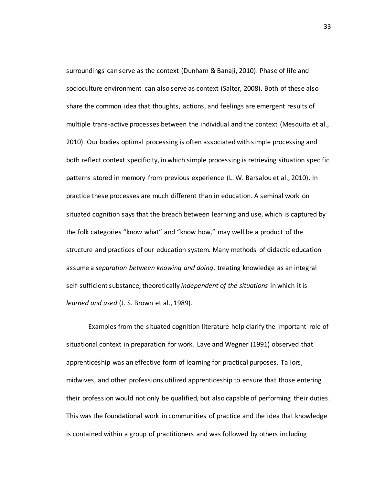surroundings can serve as the context (Dunham & Banaji, 2010). Phase of life and socioculture environment can also serve as context (Salter, 2008). Both of these also share the common idea that thoughts, actions, and feelings are emergent results of multiple trans-active processes between the individual and the context (Mesquita et al., 2010). Our bodies optimal processing is often associated with simple processing and both reflect context specificity, in which simple processing is retrieving situation specific patterns stored in memory from previous experience (L. W. Barsalou et al., 2010). In practice these processes are much different than in education. A seminal work on situated cognition says that the breach between learning and use, which is captured by the folk categories "know what" and "know how," may well be a product of the structure and practices of our education system. Many methods of didactic education assume a *separation between knowing and doing*, treating knowledge as an integral self-sufficient substance, theoretically *independent of the situations* in which it is *learned and used* (J. S. Brown et al., 1989).

Examples from the situated cognition literature help clarify the important role of situational context in preparation for work. Lave and Wegner (1991) observed that apprenticeship was an effective form of learning for practical purposes. Tailors, midwives, and other professions utilized apprenticeship to ensure that those entering their profession would not only be qualified, but also capable of performing their duties. This was the foundational work in communities of practice and the idea that knowledge is contained within a group of practitioners and was followed by others including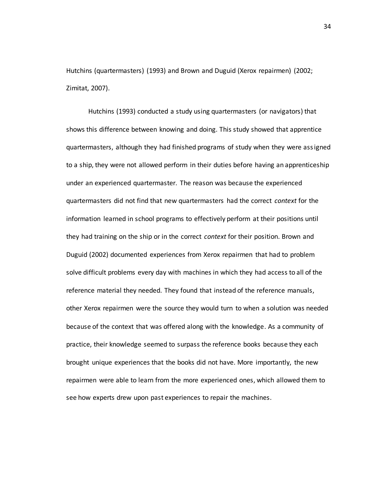Hutchins (quartermasters) (1993) and Brown and Duguid (Xerox repairmen) (2002; Zimitat, 2007).

Hutchins (1993) conducted a study using quartermasters (or navigators) that shows this difference between knowing and doing. This study showed that apprentice quartermasters, although they had finished programs of study when they were ass igned to a ship, they were not allowed perform in their duties before having an apprenticeship under an experienced quartermaster. The reason was because the experienced quartermasters did not find that new quartermasters had the correct *context* for the information learned in school programs to effectively perform at their positions until they had training on the ship or in the correct *context* for their position. Brown and Duguid (2002) documented experiences from Xerox repairmen that had to problem solve difficult problems every day with machines in which they had access to all of the reference material they needed. They found that instead of the reference manuals, other Xerox repairmen were the source they would turn to when a solution was needed because of the context that was offered along with the knowledge. As a community of practice, their knowledge seemed to surpass the reference books because they each brought unique experiences that the books did not have. More importantly, the new repairmen were able to learn from the more experienced ones, which allowed them to see how experts drew upon past experiences to repair the machines.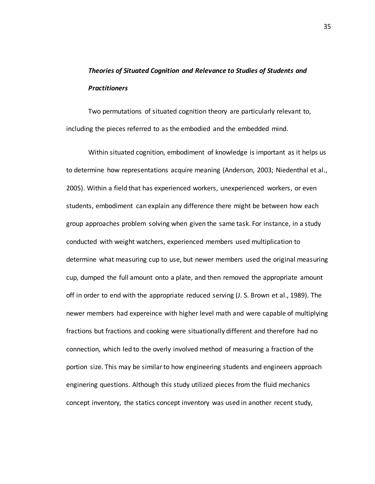# *Theories of Situated Cognition and Relevance to Studies of Students and Practitioners*

Two permutations of situated cognition theory are particularly relevant to, including the pieces referred to as the embodied and the embedded mind.

Within situated cognition, embodiment of knowledge is important as it helps us to determine how representations acquire meaning (Anderson, 2003; Niedenthal et al., 2005). Within a field that has experienced workers, unexperienced workers, or even students, embodiment can explain any difference there might be between how each group approaches problem solving when given the same task. For instance, in a study conducted with weight watchers, experienced members used multiplication to determine what measuring cup to use, but newer members used the original measuring cup, dumped the full amount onto a plate, and then removed the appropriate amount off in order to end with the appropriate reduced serving (J. S. Brown et al., 1989). The newer members had expereince with higher level math and were capable of multiplying fractions but fractions and cooking were situationally different and therefore had no connection, which led to the overly involved method of measuring a fraction of the portion size. This may be similar to how engineering students and engineers approach enginering questions. Although this study utilized pieces from the fluid mechanics concept inventory, the statics concept inventory was used in another recent study,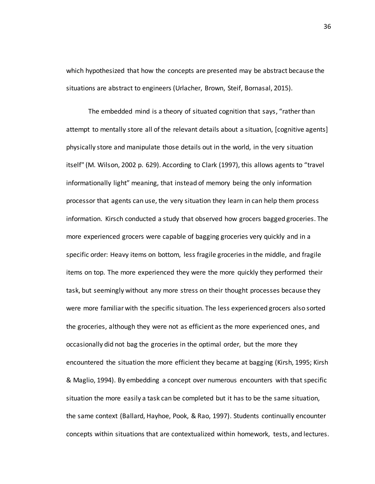which hypothesized that how the concepts are presented may be abstract because the situations are abstract to engineers (Urlacher, Brown, Steif, Bornasal, 2015).

The embedded mind is a theory of situated cognition that says, "rather than attempt to mentally store all of the relevant details about a situation, [cognitive agents] physically store and manipulate those details out in the world, in the very situation itself" (M. Wilson, 2002 p. 629). According to Clark (1997), this allows agents to "travel informationally light" meaning, that instead of memory being the only information processor that agents can use, the very situation they learn in can help them process information. Kirsch conducted a study that observed how grocers bagged groceries. The more experienced grocers were capable of bagging groceries very quickly and in a specific order: Heavy items on bottom, less fragile groceries in the middle, and fragile items on top. The more experienced they were the more quickly they performed their task, but seemingly without any more stress on their thought processes because they were more familiar with the specific situation. The less experienced grocers also sorted the groceries, although they were not as efficient as the more experienced ones, and occasionally did not bag the groceries in the optimal order, but the more they encountered the situation the more efficient they became at bagging (Kirsh, 1995; Kirsh & Maglio, 1994). By embedding a concept over numerous encounters with that specific situation the more easily a task can be completed but it has to be the same situation, the same context (Ballard, Hayhoe, Pook, & Rao, 1997). Students continually encounter concepts within situations that are contextualized within homework, tests, and lectures.

36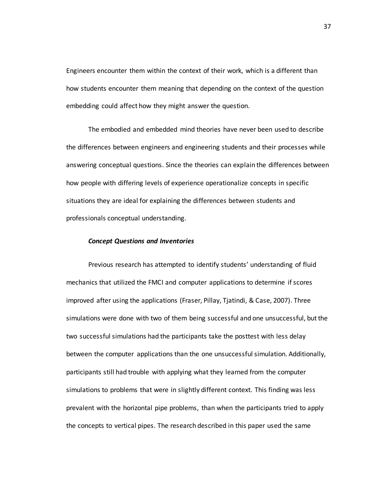Engineers encounter them within the context of their work, which is a different than how students encounter them meaning that depending on the context of the question embedding could affect how they might answer the question.

The embodied and embedded mind theories have never been used to describe the differences between engineers and engineering students and their processes while answering conceptual questions. Since the theories can explain the differences between how people with differing levels of experience operationalize concepts in specific situations they are ideal for explaining the differences between students and professionals conceptual understanding.

#### *Concept Questions and Inventories*

Previous research has attempted to identify students' understanding of fluid mechanics that utilized the FMCI and computer applications to determine if scores improved after using the applications (Fraser, Pillay, Tjatindi, & Case, 2007). Three simulations were done with two of them being successful and one unsuccessful, but the two successful simulations had the participants take the posttest with less delay between the computer applications than the one unsuccessful simulation. Additionally, participants still had trouble with applying what they learned from the computer simulations to problems that were in slightly different context. This finding was less prevalent with the horizontal pipe problems, than when the participants tried to apply the concepts to vertical pipes. The research described in this paper used the same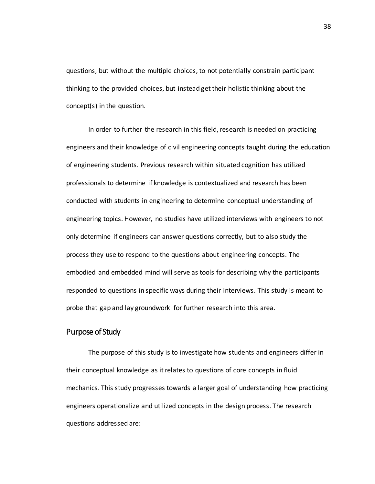questions, but without the multiple choices, to not potentially constrain participant thinking to the provided choices, but instead get their holistic thinking about the concept(s) in the question.

In order to further the research in this field, research is needed on practicing engineers and their knowledge of civil engineering concepts taught during the education of engineering students. Previous research within situated cognition has utilized professionals to determine if knowledge is contextualized and research has been conducted with students in engineering to determine conceptual understanding of engineering topics. However, no studies have utilized interviews with engineers to not only determine if engineers can answer questions correctly, but to also study the process they use to respond to the questions about engineering concepts. The embodied and embedded mind will serve as tools for describing why the participants responded to questions in specific ways during their interviews. This study is meant to probe that gap and lay groundwork for further research into this area.

### Purpose of Study

The purpose of this study is to investigate how students and engineers differ in their conceptual knowledge as it relates to questions of core concepts in fluid mechanics. This study progresses towards a larger goal of understanding how practicing engineers operationalize and utilized concepts in the design process. The research questions addressed are: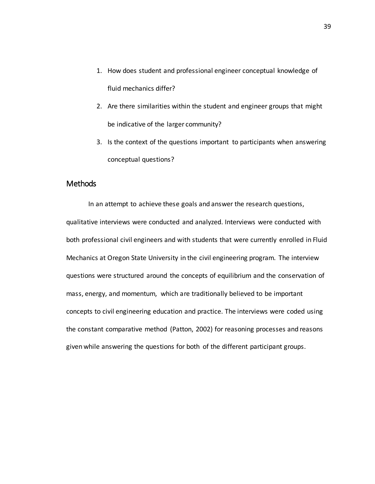- 1. How does student and professional engineer conceptual knowledge of fluid mechanics differ?
- 2. Are there similarities within the student and engineer groups that might be indicative of the larger community?
- 3. Is the context of the questions important to participants when answering conceptual questions?

# Methods

In an attempt to achieve these goals and answer the research questions, qualitative interviews were conducted and analyzed. Interviews were conducted with both professional civil engineers and with students that were currently enrolled in Fluid Mechanics at Oregon State University in the civil engineering program. The interview questions were structured around the concepts of equilibrium and the conservation of mass, energy, and momentum, which are traditionally believed to be important concepts to civil engineering education and practice. The interviews were coded using the constant comparative method (Patton, 2002) for reasoning processes and reasons given while answering the questions for both of the different participant groups.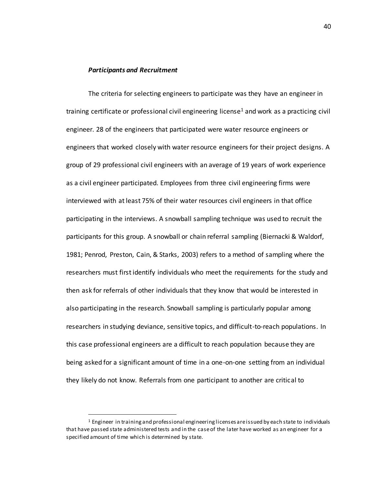#### *Participants and Recruitment*

The criteria for selecting engineers to participate was they have an engineer in training certificate or professional civil engineering license<sup>1</sup> and work as a practicing civil engineer. 28 of the engineers that participated were water resource engineers or engineers that worked closely with water resource engineers for their project designs. A group of 29 professional civil engineers with an average of 19 years of work experience as a civil engineer participated. Employees from three civil engineering firms were interviewed with at least 75% of their water resources civil engineers in that office participating in the interviews. A snowball sampling technique was used to recruit the participants for this group. A snowball or chain referral sampling (Biernacki & Waldorf, 1981; Penrod, Preston, Cain, & Starks, 2003) refers to a method of sampling where the researchers must first identify individuals who meet the requirements for the study and then ask for referrals of other individuals that they know that would be interested in also participating in the research. Snowball sampling is particularly popular among researchers in studying deviance, sensitive topics, and difficult-to-reach populations. In this case professional engineers are a difficult to reach population because they are being asked for a significant amount of time in a one-on-one setting from an individual they likely do not know. Referrals from one participant to another are critical to

 $\overline{a}$ 

 $<sup>1</sup>$  Engineer in training and professional engineering licenses are issued by each state to individuals</sup> that have passed state administered tests and in the case of the later have worked as an engineer for a specified amount of time which is determined by state.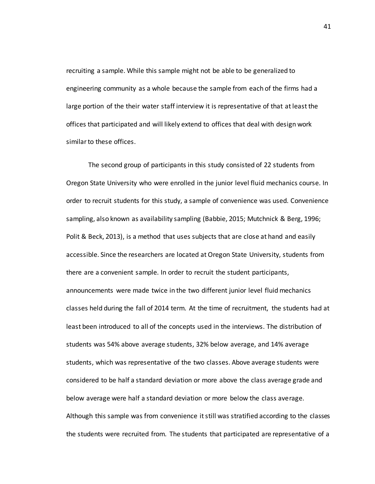recruiting a sample. While this sample might not be able to be generalized to engineering community as a whole because the sample from each of the firms had a large portion of the their water staff interview it is representative of that at least the offices that participated and will likely extend to offices that deal with design work similar to these offices.

The second group of participants in this study consisted of 22 students from Oregon State University who were enrolled in the junior level fluid mechanics course. In order to recruit students for this study, a sample of convenience was used. Convenience sampling, also known as availability sampling (Babbie, 2015; Mutchnick & Berg, 1996; Polit & Beck, 2013), is a method that uses subjects that are close at hand and easily accessible. Since the researchers are located at Oregon State University, students from there are a convenient sample. In order to recruit the student participants, announcements were made twice in the two different junior level fluid mechanics classes held during the fall of 2014 term. At the time of recruitment, the students had at least been introduced to all of the concepts used in the interviews. The distribution of students was 54% above average students, 32% below average, and 14% average students, which was representative of the two classes. Above average students were considered to be half a standard deviation or more above the class average grade and below average were half a standard deviation or more below the class average. Although this sample was from convenience it still was stratified according to the classes the students were recruited from. The students that participated are representative of a

41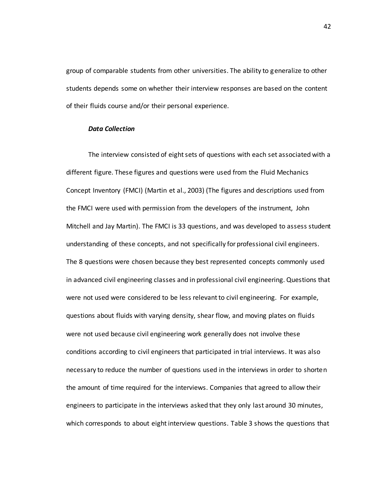group of comparable students from other universities. The ability to generalize to other students depends some on whether their interview responses are based on the content of their fluids course and/or their personal experience.

#### *Data Collection*

The interview consisted of eight sets of questions with each set associated with a different figure. These figures and questions were used from the Fluid Mechanics Concept Inventory (FMCI) (Martin et al., 2003) (The figures and descriptions used from the FMCI were used with permission from the developers of the instrument, John Mitchell and Jay Martin). The FMCI is 33 questions, and was developed to assess student understanding of these concepts, and not specifically for professional civil engineers. The 8 questions were chosen because they best represented concepts commonly used in advanced civil engineering classes and in professional civil engineering. Questions that were not used were considered to be less relevant to civil engineering. For example, questions about fluids with varying density, shear flow, and moving plates on fluids were not used because civil engineering work generally does not involve these conditions according to civil engineers that participated in trial interviews. It was also necessary to reduce the number of questions used in the interviews in order to shorten the amount of time required for the interviews. Companies that agreed to allow their engineers to participate in the interviews asked that they only last around 30 minutes, which corresponds to about eight interview questions. Table 3 shows the questions that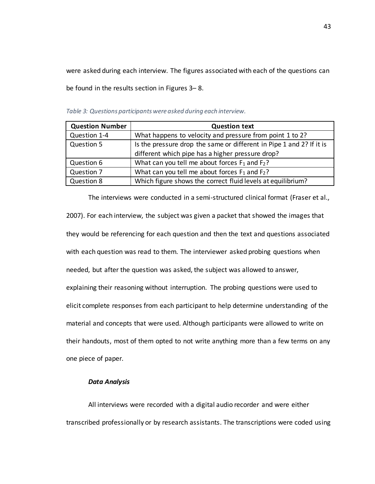were asked during each interview. The figures associated with each of the questions can be found in the results section in Figures 3– 8.

| <b>Question Number</b> | <b>Question text</b>                                                 |
|------------------------|----------------------------------------------------------------------|
| Question 1-4           | What happens to velocity and pressure from point 1 to 2?             |
| Question 5             | Is the pressure drop the same or different in Pipe 1 and 2? If it is |
|                        | different which pipe has a higher pressure drop?                     |
| Question 6             | What can you tell me about forces $F_1$ and $F_2$ ?                  |
| Question 7             | What can you tell me about forces $F_1$ and $F_2$ ?                  |
| Question 8             | Which figure shows the correct fluid levels at equilibrium?          |

*Table 3: Questions participants were asked during each interview.* 

The interviews were conducted in a semi-structured clinical format (Fraser et al.,

2007). For each interview, the subject was given a packet that showed the images that they would be referencing for each question and then the text and questions associated with each question was read to them. The interviewer asked probing questions when needed, but after the question was asked, the subject was allowed to answer, explaining their reasoning without interruption. The probing questions were used to elicit complete responses from each participant to help determine understanding of the material and concepts that were used. Although participants were allowed to write on their handouts, most of them opted to not write anything more than a few terms on any one piece of paper.

#### *Data Analysis*

All interviews were recorded with a digital audio recorder and were either transcribed professionally or by research assistants. The transcriptions were coded using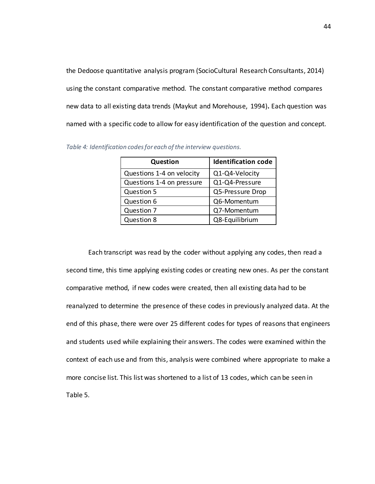the Dedoose quantitative analysis program (SocioCultural Research Consultants, 2014) using the constant comparative method. The constant comparative method compares new data to all existing data trends (Maykut and Morehouse, 1994)**.** Each question was named with a specific code to allow for easy identification of the question and concept.

| Question                  | <b>Identification code</b> |  |  |
|---------------------------|----------------------------|--|--|
| Questions 1-4 on velocity | Q1-Q4-Velocity             |  |  |
| Questions 1-4 on pressure | Q1-Q4-Pressure             |  |  |
| Question 5                | Q5-Pressure Drop           |  |  |
| Question 6                | Q6-Momentum                |  |  |
| Question 7                | Q7-Momentum                |  |  |
| Question 8                | Q8-Equilibrium             |  |  |

*Table 4: Identification codes for each of the interview questions.* 

Each transcript was read by the coder without applying any codes, then read a second time, this time applying existing codes or creating new ones. As per the constant comparative method, if new codes were created, then all existing data had to be reanalyzed to determine the presence of these codes in previously analyzed data. At the end of this phase, there were over 25 different codes for types of reasons that engineers and students used while explaining their answers. The codes were examined within the context of each use and from this, analysis were combined where appropriate to make a more concise list. This list was shortened to a list of 13 codes, which can be seen in Table 5.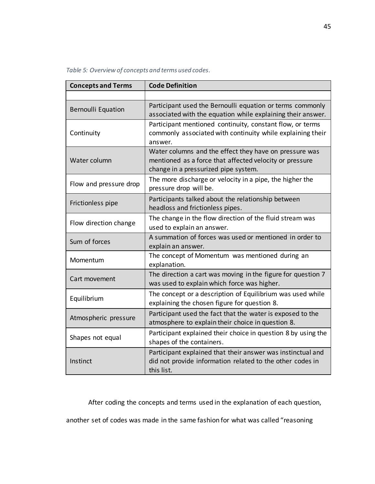|  |  |  | Table 5: Overview of concepts and terms used codes. |
|--|--|--|-----------------------------------------------------|
|--|--|--|-----------------------------------------------------|

| <b>Concepts and Terms</b>                                                                                    | <b>Code Definition</b>                                                                                                                                    |  |  |  |  |
|--------------------------------------------------------------------------------------------------------------|-----------------------------------------------------------------------------------------------------------------------------------------------------------|--|--|--|--|
|                                                                                                              |                                                                                                                                                           |  |  |  |  |
| <b>Bernoulli Equation</b>                                                                                    | Participant used the Bernoulli equation or terms commonly<br>associated with the equation while explaining their answer.                                  |  |  |  |  |
| Continuity                                                                                                   | Participant mentioned continuity, constant flow, or terms<br>commonly associated with continuity while explaining their<br>answer.                        |  |  |  |  |
| Water column                                                                                                 | Water columns and the effect they have on pressure was<br>mentioned as a force that affected velocity or pressure<br>change in a pressurized pipe system. |  |  |  |  |
| The more discharge or velocity in a pipe, the higher the<br>Flow and pressure drop<br>pressure drop will be. |                                                                                                                                                           |  |  |  |  |
| Frictionless pipe                                                                                            | Participants talked about the relationship between<br>headloss and frictionless pipes.                                                                    |  |  |  |  |
| Flow direction change                                                                                        | The change in the flow direction of the fluid stream was<br>used to explain an answer.                                                                    |  |  |  |  |
| Sum of forces                                                                                                | A summation of forces was used or mentioned in order to<br>explain an answer.                                                                             |  |  |  |  |
| Momentum                                                                                                     | The concept of Momentum was mentioned during an<br>explanation.                                                                                           |  |  |  |  |
| Cart movement                                                                                                | The direction a cart was moving in the figure for question 7<br>was used to explain which force was higher.                                               |  |  |  |  |
| Equilibrium                                                                                                  | The concept or a description of Equilibrium was used while<br>explaining the chosen figure for question 8.                                                |  |  |  |  |
| Atmospheric pressure                                                                                         | Participant used the fact that the water is exposed to the<br>atmosphere to explain their choice in question 8.                                           |  |  |  |  |
| Shapes not equal                                                                                             | Participant explained their choice in question 8 by using the<br>shapes of the containers.                                                                |  |  |  |  |
| Instinct                                                                                                     | Participant explained that their answer was instinctual and<br>did not provide information related to the other codes in<br>this list.                    |  |  |  |  |

After coding the concepts and terms used in the explanation of each question,

another set of codes was made in the same fashion for what was called "reasoning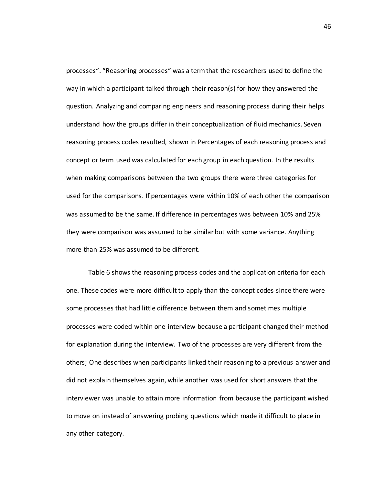processes". "Reasoning processes" was a term that the researchers used to define the way in which a participant talked through their reason(s) for how they answered the question. Analyzing and comparing engineers and reasoning process during their helps understand how the groups differ in their conceptualization of fluid mechanics. Seven reasoning process codes resulted, shown in Percentages of each reasoning process and concept or term used was calculated for each group in each question. In the results when making comparisons between the two groups there were three categories for used for the comparisons. If percentages were within 10% of each other the comparison was assumed to be the same. If difference in percentages was between 10% and 25% they were comparison was assumed to be similar but with some variance. Anything more than 25% was assumed to be different.

Table 6 shows the reasoning process codes and the application criteria for each one. These codes were more difficult to apply than the concept codes since there were some processes that had little difference between them and sometimes multiple processes were coded within one interview because a participant changed their method for explanation during the interview. Two of the processes are very different from the others; One describes when participants linked their reasoning to a previous answer and did not explain themselves again, while another was used for short answers that the interviewer was unable to attain more information from because the participant wished to move on instead of answering probing questions which made it difficult to place in any other category.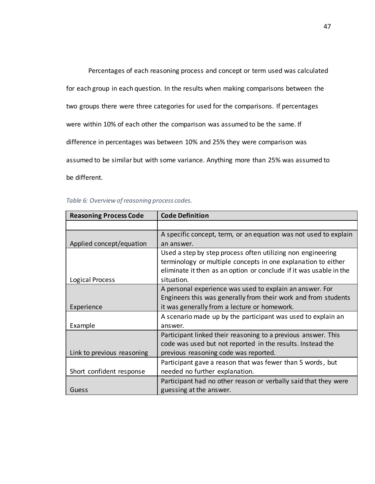Percentages of each reasoning process and concept or term used was calculated for each group in each question. In the results when making comparisons between the two groups there were three categories for used for the comparisons. If percentages were within 10% of each other the comparison was assumed to be the same. If difference in percentages was between 10% and 25% they were comparison was assumed to be similar but with some variance. Anything more than 25% was assumed to be different.

| Table 6: Overview of reasoning process codes. |  |
|-----------------------------------------------|--|
|                                               |  |

| <b>Reasoning Process Code</b> | <b>Code Definition</b>                                             |
|-------------------------------|--------------------------------------------------------------------|
|                               |                                                                    |
|                               | A specific concept, term, or an equation was not used to explain   |
| Applied concept/equation      | an answer.                                                         |
|                               | Used a step by step process often utilizing non engineering        |
|                               | terminology or multiple concepts in one explanation to either      |
|                               | eliminate it then as an option or conclude if it was usable in the |
| Logical Process               | situation.                                                         |
|                               | A personal experience was used to explain an answer. For           |
|                               | Engineers this was generally from their work and from students     |
| Experience                    | it was generally from a lecture or homework.                       |
|                               | A scenario made up by the participant was used to explain an       |
| Example                       | answer.                                                            |
|                               | Participant linked their reasoning to a previous answer. This      |
|                               | code was used but not reported in the results. Instead the         |
| Link to previous reasoning    | previous reasoning code was reported.                              |
|                               | Participant gave a reason that was fewer than 5 words, but         |
| Short confident response      | needed no further explanation.                                     |
|                               | Participant had no other reason or verbally said that they were    |
| Guess                         | guessing at the answer.                                            |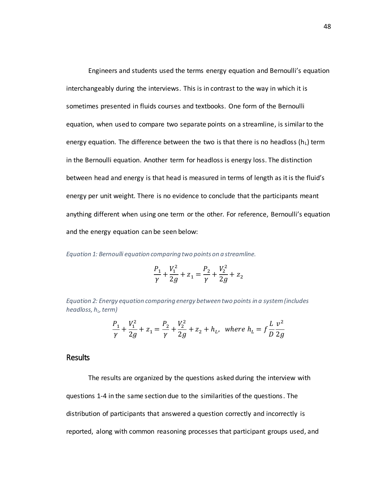Engineers and students used the terms energy equation and Bernoulli's equation interchangeably during the interviews. This is in contrast to the way in which it is sometimes presented in fluids courses and textbooks. One form of the Bernoulli equation, when used to compare two separate points on a streamline, is similar to the energy equation. The difference between the two is that there is no headloss  $(h<sub>L</sub>)$  term in the Bernoulli equation. Another term for headloss is energy loss. The distinction between head and energy is that head is measured in terms of length as it is the fluid's energy per unit weight. There is no evidence to conclude that the participants meant anything different when using one term or the other. For reference, Bernoulli's equation and the energy equation can be seen below:

<span id="page-62-0"></span>*Equation 1: Bernoulli equation comparing two points on a streamline.* 

$$
\frac{P_1}{\gamma} + \frac{V_1^2}{2g} + z_1 = \frac{P_2}{\gamma} + \frac{V_2^2}{2g} + z_2
$$

*Equation 2: Energy equation comparing energy between two points in a system (includes headloss, h<sup>L</sup> , term)* 

$$
\frac{P_1}{\gamma} + \frac{V_1^2}{2g} + z_1 = \frac{P_2}{\gamma} + \frac{V_2^2}{2g} + z_2 + h_L, \text{ where } h_L = f \frac{L v^2}{D 2g}
$$

# **Results**

The results are organized by the questions asked during the interview with questions 1-4 in the same section due to the similarities of the questions. The distribution of participants that answered a question correctly and incorrectly is reported, along with common reasoning processes that participant groups used, and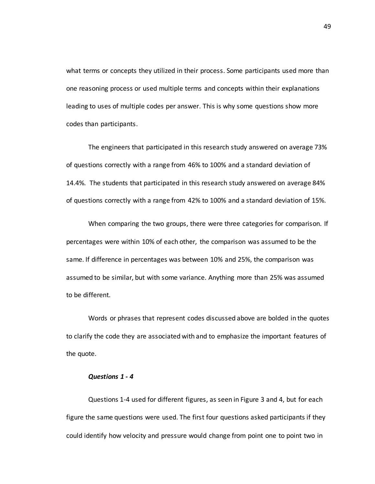what terms or concepts they utilized in their process. Some participants used more than one reasoning process or used multiple terms and concepts within their explanations leading to uses of multiple codes per answer. This is why some questions show more codes than participants.

The engineers that participated in this research study answered on average 73% of questions correctly with a range from 46% to 100% and a standard deviation of 14.4%. The students that participated in this research study answered on average 84% of questions correctly with a range from 42% to 100% and a standard deviation of 15%.

When comparing the two groups, there were three categories for comparison. If percentages were within 10% of each other, the comparison was assumed to be the same. If difference in percentages was between 10% and 25%, the comparison was assumed to be similar, but with some variance. Anything more than 25% was assumed to be different.

Words or phrases that represent codes discussed above are bolded in the quotes to clarify the code they are associated with and to emphasize the important features of the quote.

#### *Questions 1 - 4*

Questions 1-4 used for different figures, as seen in Figure 3 and 4, but for each figure the same questions were used. The first four questions asked participants if they could identify how velocity and pressure would change from point one to point two in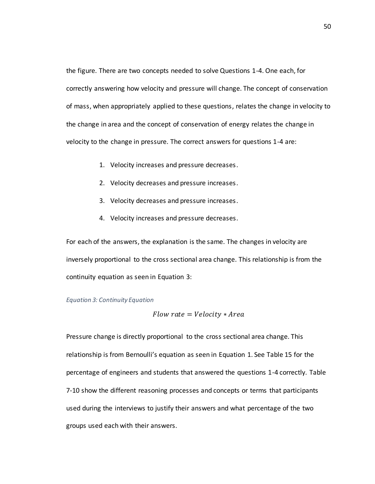the figure. There are two concepts needed to solve Questions 1-4. One each, for correctly answering how velocity and pressure will change. The concept of conservation of mass, when appropriately applied to these questions, relates the change in velocity to the change in area and the concept of conservation of energy relates the change in velocity to the change in pressure. The correct answers for questions 1-4 are:

- 1. Velocity increases and pressure decreases.
- 2. Velocity decreases and pressure increases.
- 3. Velocity decreases and pressure increases.
- 4. Velocity increases and pressure decreases.

For each of the answers, the explanation is the same. The changes in velocity are inversely proportional to the cross sectional area change. This relationship is from the continuity equation as seen in [Equation 3:](#page-64-0)

#### <span id="page-64-0"></span>*Equation 3: Continuity Equation*

$$
Flow\ rate = Velocity*Area
$$

Pressure change is directly proportional to the cross sectional area change. This relationship is from Bernoulli's equation as seen in [Equation 1.](#page-62-0) See Table 15 for the percentage of engineers and students that answered the questions 1-4 correctly. Table 7-10 show the different reasoning processes and concepts or terms that participants used during the interviews to justify their answers and what percentage of the two groups used each with their answers.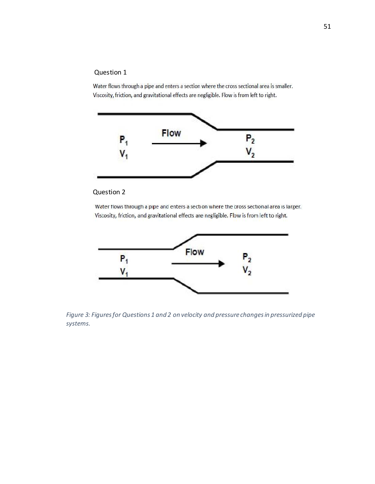# Question 1

Water flows through a pipe and enters a section where the cross sectional area is smaller. Viscosity, friction, and gravitational effects are negligible. Flow is from left to right.



# Question 2

Water flows through a pipe and enters a section where the cross sectional area is larger. Viscosity, friction, and gravitational effects are negligible. Flow is from left to right.



*Figure 3: Figures for Questions 1 and 2 on velocity and pressure changes in pressurized pipe systems.*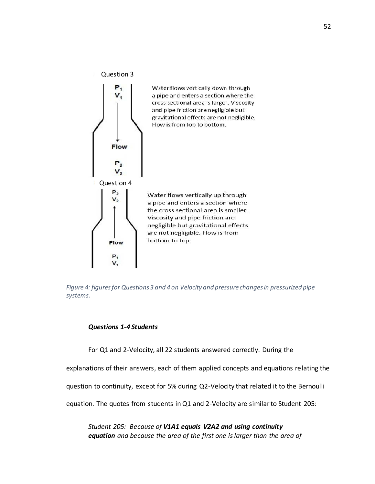

*Figure 4: figures for Questions 3 and 4 on Velocity and pressure changes in pressurized pipe systems.* 

#### *Questions 1-4 Students*

For Q1 and 2-Velocity, all 22 students answered correctly. During the

explanations of their answers, each of them applied concepts and equations relating the

question to continuity, except for 5% during Q2-Velocity that related it to the Bernoulli

equation. The quotes from students in Q1 and 2-Velocity are similar to Student 205:

*Student 205: Because of V1A1 equals V2A2 and using continuity equation and because the area of the first one is larger than the area of*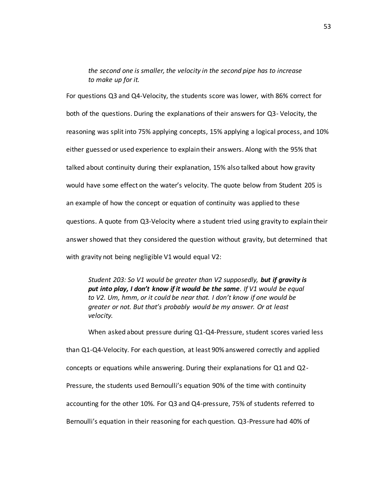*the second one is smaller, the velocity in the second pipe has to increase to make up for it.* 

For questions Q3 and Q4-Velocity, the students score was lower, with 86% correct for both of the questions. During the explanations of their answers for Q3- Velocity, the reasoning was split into 75% applying concepts, 15% applying a logical process, and 10% either guessed or used experience to explain their answers. Along with the 95% that talked about continuity during their explanation, 15% also talked about how gravity would have some effect on the water's velocity. The quote below from Student 205 is an example of how the concept or equation of continuity was applied to these questions. A quote from Q3-Velocity where a student tried using gravity to explain their answer showed that they considered the question without gravity, but determined that with gravity not being negligible V1 would equal V2:

*Student 203: So V1 would be greater than V2 supposedly, but if gravity is put into play, I don't know if it would be the same. If V1 would be equal to V2. Um, hmm, or it could be near that. I don't know if one would be greater or not. But that's probably would be my answer. Or at least velocity.* 

When asked about pressure during Q1-Q4-Pressure, student scores varied less than Q1-Q4-Velocity. For each question, at least 90% answered correctly and applied concepts or equations while answering. During their explanations for Q1 and Q2- Pressure, the students used Bernoulli's equation 90% of the time with continuity accounting for the other 10%. For Q3 and Q4-pressure, 75% of students referred to Bernoulli's equation in their reasoning for each question. Q3-Pressure had 40% of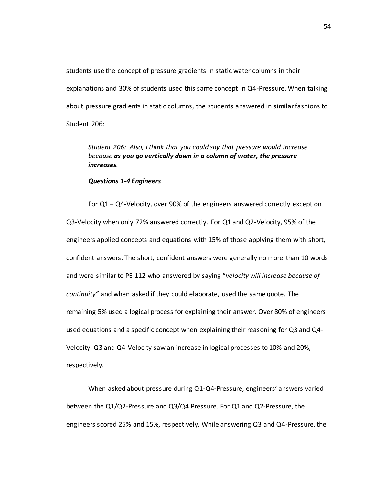students use the concept of pressure gradients in static water columns in their explanations and 30% of students used this same concept in Q4-Pressure. When talking about pressure gradients in static columns, the students answered in similar fashions to Student 206:

# *Student 206: Also, I think that you could say that pressure would increase because as you go vertically down in a column of water, the pressure increases.*

#### *Questions 1-4 Engineers*

For Q1 – Q4-Velocity, over 90% of the engineers answered correctly except on Q3-Velocity when only 72% answered correctly. For Q1 and Q2-Velocity, 95% of the engineers applied concepts and equations with 15% of those applying them with short, confident answers. The short, confident answers were generally no more than 10 words and were similar to PE 112 who answered by saying "*velocity will increase because of continuity"* and when asked if they could elaborate, used the same quote. The remaining 5% used a logical process for explaining their answer. Over 80% of engineers used equations and a specific concept when explaining their reasoning for Q3 and Q4- Velocity. Q3 and Q4-Velocity saw an increase in logical processes to 10% and 20%, respectively.

When asked about pressure during Q1-Q4-Pressure, engineers' answers varied between the Q1/Q2-Pressure and Q3/Q4 Pressure. For Q1 and Q2-Pressure, the engineers scored 25% and 15%, respectively. While answering Q3 and Q4-Pressure, the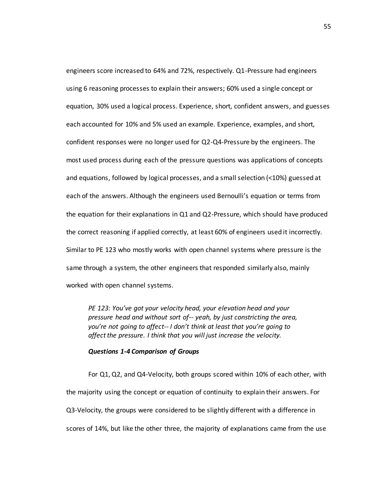engineers score increased to 64% and 72%, respectively. Q1-Pressure had engineers using 6 reasoning processes to explain their answers; 60% used a single concept or equation, 30% used a logical process. Experience, short, confident answers, and guesses each accounted for 10% and 5% used an example. Experience, examples, and short, confident responses were no longer used for Q2-Q4-Pressure by the engineers. The most used process during each of the pressure questions was applications of concepts and equations, followed by logical processes, and a small selection (<10%) guessed at each of the answers. Although the engineers used Bernoulli's equation or terms from the equation for their explanations in Q1 and Q2-Pressure, which should have produced the correct reasoning if applied correctly, at least 60% of engineers used it incorrectly. Similar to PE 123 who mostly works with open channel systems where pressure is the same through a system, the other engineers that responded similarly also, mainly worked with open channel systems.

*PE 123: You've got your velocity head, your elevation head and your pressure head and without sort of-- yeah, by just constricting the area, you're not going to affect-- I don't think at least that you're going to affect the pressure. I think that you will just increase the velocity.* 

#### *Questions 1-4 Comparison of Groups*

For Q1, Q2, and Q4-Velocity, both groups scored within 10% of each other, with the majority using the concept or equation of continuity to explain their answers. For Q3-Velocity, the groups were considered to be slightly different with a difference in scores of 14%, but like the other three, the majority of explanations came from the use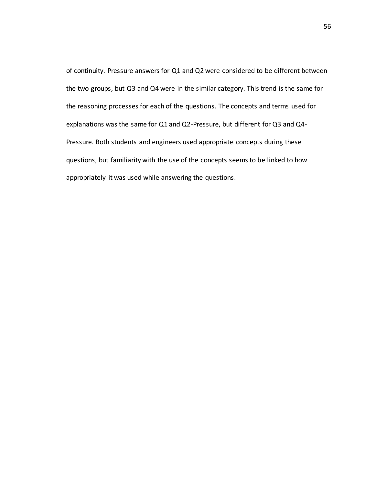of continuity. Pressure answers for Q1 and Q2 were considered to be different between the two groups, but Q3 and Q4 were in the similar category. This trend is the same for the reasoning processes for each of the questions. The concepts and terms used for explanations was the same for Q1 and Q2-Pressure, but different for Q3 and Q4- Pressure. Both students and engineers used appropriate concepts during these questions, but familiarity with the use of the concepts seems to be linked to how appropriately it was used while answering the questions.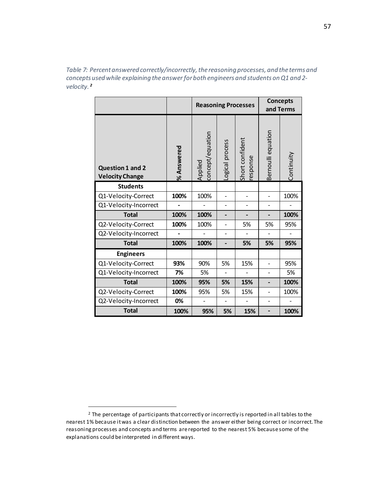*Table 7: Percent answered correctly/incorrectly, the reasoning processes, and the terms and concepts used while explaining the answer for both engineers and students on Q1 and 2 velocity.<sup>2</sup>*

|                                                   |            | <b>Reasoning Processes</b>  |                 |                            | <b>Concepts</b><br>and Terms |            |
|---------------------------------------------------|------------|-----------------------------|-----------------|----------------------------|------------------------------|------------|
| <b>Question 1 and 2</b><br><b>Velocity Change</b> | % Answered | concept/equation<br>Applied | Logical process | Short confident<br>esponse | Bernoulli equation           | Continuity |
| <b>Students</b>                                   |            |                             |                 |                            |                              |            |
| Q1-Velocity-Correct                               | 100%       | 100%                        |                 |                            |                              | 100%       |
| Q1-Velocity-Incorrect                             |            |                             |                 |                            |                              |            |
| <b>Total</b>                                      | 100%       | 100%                        | -               |                            |                              | 100%       |
| Q2-Velocity-Correct                               | 100%       | 100%                        |                 | 5%                         | 5%                           | 95%        |
| Q2-Velocity-Incorrect                             |            |                             |                 |                            |                              |            |
| <b>Total</b>                                      | 100%       | 100%                        |                 | 5%                         | 5%                           | 95%        |
| <b>Engineers</b>                                  |            |                             |                 |                            |                              |            |
| Q1-Velocity-Correct                               | 93%        | 90%                         | 5%              | 15%                        |                              | 95%        |
| Q1-Velocity-Incorrect                             | 7%         | 5%                          |                 |                            | $\overline{a}$               | 5%         |
| <b>Total</b>                                      | 100%       | 95%                         | 5%              | 15%                        |                              | 100%       |
| Q2-Velocity-Correct                               | 100%       | 95%                         | 5%              | 15%                        |                              | 100%       |
| Q2-Velocity-Incorrect                             | 0%         |                             |                 |                            |                              |            |
| Total                                             | 100%       | 95%                         | 5%              | 15%                        |                              | 100%       |

 $\overline{a}$ 

 $2$  The percentage of participants that correctly or incorrectly is reported in all tables to the nearest 1% because it was a clear distinction between the answer either being correct or incorrect. The reasoning processes and concepts and terms are reported to the nearest 5% because some of the explanations could be interpreted in different ways.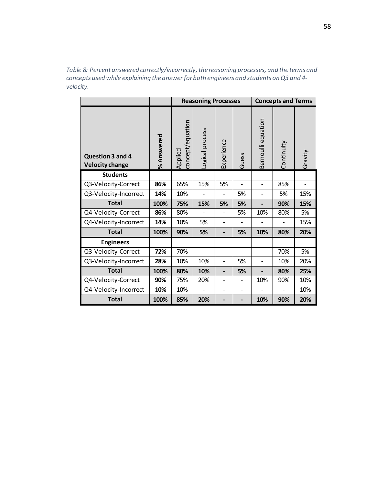*Table 8: Percent answered correctly/incorrectly, the reasoning processes, and the terms and concepts used while explaining the answer for both engineers and students on Q3 and 4 velocity.* 

|                                            |            |                             | <b>Reasoning Processes</b> |                          |                | <b>Concepts and Terms</b> |            |         |  |
|--------------------------------------------|------------|-----------------------------|----------------------------|--------------------------|----------------|---------------------------|------------|---------|--|
| Question 3 and 4<br><b>Velocity change</b> | % Answered | concept/equation<br>Applied | Logical process            | Experience               | Guess          | equation<br>Bernoulli     | Continuity | Gravity |  |
| <b>Students</b>                            |            |                             |                            |                          |                |                           |            |         |  |
| Q3-Velocity-Correct                        | 86%        | 65%                         | 15%                        | 5%                       | $\overline{a}$ | $\overline{a}$            | 85%        |         |  |
| Q3-Velocity-Incorrect                      | 14%        | 10%                         |                            | $\overline{\phantom{0}}$ | 5%             | $\qquad \qquad -$         | 5%         | 15%     |  |
| <b>Total</b>                               | 100%       | 75%                         | 15%                        | 5%                       | 5%             |                           | 90%        | 15%     |  |
| Q4-Velocity-Correct                        | 86%        | 80%                         |                            | $\overline{a}$           | 5%             | 10%                       | 80%        | 5%      |  |
| Q4-Velocity-Incorrect                      | 14%        | 10%                         | 5%                         | $\overline{\phantom{0}}$ |                |                           |            | 15%     |  |
| <b>Total</b>                               | 100%       | 90%                         | 5%                         | $\overline{\phantom{0}}$ | 5%             | 10%                       | 80%        | 20%     |  |
| <b>Engineers</b>                           |            |                             |                            |                          |                |                           |            |         |  |
| Q3-Velocity-Correct                        | 72%        | 70%                         |                            | $\overline{\phantom{0}}$ |                | $\overline{a}$            | 70%        | 5%      |  |
| Q3-Velocity-Incorrect                      | 28%        | 10%                         | 10%                        | $\overline{\phantom{0}}$ | 5%             | $\overline{\phantom{0}}$  | 10%        | 20%     |  |
| <b>Total</b>                               | 100%       | 80%                         | 10%                        | $\overline{\phantom{0}}$ | 5%             |                           | 80%        | 25%     |  |
| Q4-Velocity-Correct                        | 90%        | 75%                         | 20%                        | $\overline{a}$           | $\overline{a}$ | 10%                       | 90%        | 10%     |  |
| Q4-Velocity-Incorrect                      | 10%        | 10%                         |                            | $\overline{\phantom{0}}$ |                |                           |            | 10%     |  |
| <b>Total</b>                               | 100%       | 85%                         | 20%                        |                          |                | 10%                       | 90%        | 20%     |  |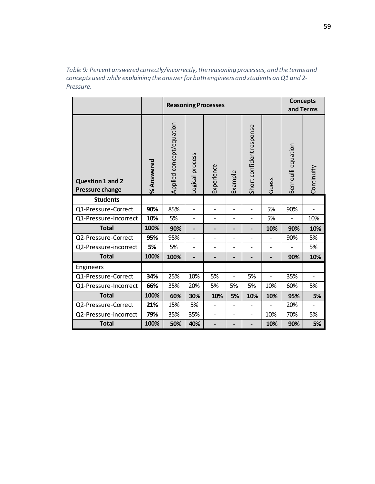*Table 9: Percent answered correctly/incorrectly, the reasoning processes, and the terms and concepts used while explaining the answer for both engineers and students on Q1 and 2- Pressure.* 

|                                                   |            | <b>Reasoning Processes</b> |                              |                              | <b>Concepts</b><br>and Terms |                          |                          |                    |                |
|---------------------------------------------------|------------|----------------------------|------------------------------|------------------------------|------------------------------|--------------------------|--------------------------|--------------------|----------------|
| <b>Question 1 and 2</b><br><b>Pressure change</b> | % Answered | Applied concept/equation   | Logical process              | Experience                   | Example                      | Short confident response | Guess                    | Bernoulli equation | Continuity     |
| <b>Students</b>                                   |            |                            |                              |                              |                              |                          |                          |                    |                |
| Q1-Pressure-Correct                               | 90%        | 85%                        | $\overline{\phantom{0}}$     | $\overline{\phantom{a}}$     |                              | $\overline{\phantom{0}}$ | 5%                       | 90%                |                |
| Q1-Pressure-Incorrect                             | 10%        | 5%                         | $\overline{\phantom{a}}$     | $\overline{\phantom{a}}$     | $\overline{\phantom{0}}$     | $\overline{\phantom{0}}$ | 5%                       |                    | 10%            |
| <b>Total</b>                                      | 100%       | 90%                        | $\qquad \qquad \blacksquare$ | -                            | $\qquad \qquad \blacksquare$ | -                        | 10%                      | 90%                | 10%            |
| Q2-Pressure-Correct                               | 95%        | 95%                        | $\overline{\phantom{0}}$     | $\overline{\phantom{a}}$     | $\overline{a}$               | $\overline{a}$           |                          | 90%                | 5%             |
| Q2-Pressure-incorrect                             | 5%         | 5%                         | $\overline{\phantom{a}}$     | $\overline{\phantom{a}}$     | $\overline{\phantom{0}}$     | $\overline{a}$           | $\overline{\phantom{a}}$ |                    | 5%             |
| <b>Total</b>                                      | 100%       | 100%                       | $\overline{\phantom{0}}$     | $\qquad \qquad \blacksquare$ | -                            | -                        |                          | 90%                | 10%            |
| Engineers                                         |            |                            |                              |                              |                              |                          |                          |                    |                |
| Q1-Pressure-Correct                               | 34%        | 25%                        | 10%                          | 5%                           | $\overline{a}$               | 5%                       | $\overline{a}$           | 35%                | $\overline{a}$ |
| Q1-Pressure-Incorrect                             | 66%        | 35%                        | 20%                          | 5%                           | 5%                           | 5%                       | 10%                      | 60%                | 5%             |
| <b>Total</b>                                      | 100%       | 60%                        | 30%                          | 10%                          | 5%                           | 10%                      | 10%                      | 95%                | 5%             |
| Q2-Pressure-Correct                               | 21%        | 15%                        | 5%                           |                              |                              |                          |                          | 20%                |                |
| Q2-Pressure-incorrect                             | 79%        | 35%                        | 35%                          | $\overline{\phantom{a}}$     |                              | $\overline{a}$           | 10%                      | 70%                | 5%             |
| <b>Total</b>                                      | 100%       | 50%                        | 40%                          |                              |                              | -                        | 10%                      | 90%                | 5%             |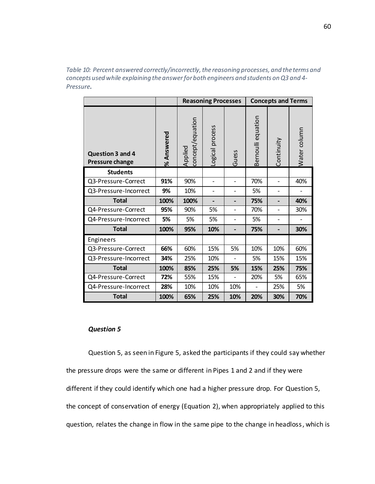*Table 10: Percent answered correctly/incorrectly, the reasoning processes, and the terms and concepts used while explaining the answer for both engineers and students on Q3 and 4- Pressure.* 

|                                            |            |                             | <b>Reasoning Processes</b> |                | <b>Concepts and Terms</b> |            |              |  |  |
|--------------------------------------------|------------|-----------------------------|----------------------------|----------------|---------------------------|------------|--------------|--|--|
| Question 3 and 4<br><b>Pressure change</b> | % Answered | concept/equation<br>Applied | Logical process            | Guess          | Bernoulli equation        | Continuity | Water column |  |  |
| <b>Students</b>                            |            |                             |                            |                |                           |            |              |  |  |
| Q3-Pressure-Correct                        | 91%        | 90%                         | $\overline{a}$             | $\overline{a}$ | 70%                       |            | 40%          |  |  |
| Q3-Pressure-Incorrect                      | 9%         | 10%                         | $\qquad \qquad -$          |                | 5%                        |            |              |  |  |
| <b>Total</b>                               | 100%       | 100%                        |                            |                | 75%                       |            | 40%          |  |  |
| Q4-Pressure-Correct                        | 95%        | 90%                         | 5%                         | $\overline{a}$ | 70%                       |            | 30%          |  |  |
| Q4-Pressure-Incorrect                      | 5%         | 5%                          | 5%                         | $\overline{a}$ | 5%                        |            |              |  |  |
| <b>Total</b>                               | 100%       | 95%                         | 10%                        |                | 75%                       |            | 30%          |  |  |
| Engineers                                  |            |                             |                            |                |                           |            |              |  |  |
| Q3-Pressure-Correct                        | 66%        | 60%                         | 15%                        | 5%             | 10%                       | 10%        | 60%          |  |  |
| Q3-Pressure-Incorrect                      | 34%        | 25%                         | 10%                        |                | 5%                        | 15%        | 15%          |  |  |
| <b>Total</b>                               | 100%       | 85%                         | 25%                        | 5%             | 15%                       | 25%        | 75%          |  |  |
| Q4-Pressure-Correct                        | 72%        | 55%                         | 15%                        |                | 20%                       | 5%         | 65%          |  |  |
| Q4-Pressure-Incorrect                      | 28%        | 10%                         | 10%                        | 10%            |                           | 25%        | 5%           |  |  |
| <b>Total</b>                               | 100%       | 65%                         | 25%                        | 10%            | 20%                       | 30%        | 70%          |  |  |

# *Question 5*

Question 5, as seen in Figure 5, asked the participants if they could say whether the pressure drops were the same or different in Pipes 1 and 2 and if they were different if they could identify which one had a higher pressure drop. For Question 5, the concept of conservation of energy [\(Equation 2\)](#page-62-0), when appropriately applied to this question, relates the change in flow in the same pipe to the change in headloss, which is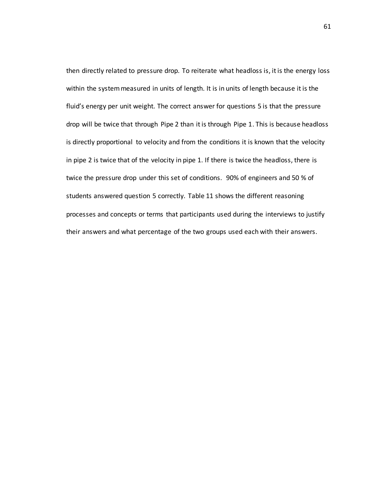then directly related to pressure drop. To reiterate what headloss is, it is the energy loss within the system measured in units of length. It is in units of length because it is the fluid's energy per unit weight. The correct answer for questions 5 is that the pressure drop will be twice that through Pipe 2 than it is through Pipe 1. This is because headloss is directly proportional to velocity and from the conditions it is known that the velocity in pipe 2 is twice that of the velocity in pipe 1. If there is twice the headloss, there is twice the pressure drop under this set of conditions. 90% of engineers and 50 % of students answered question 5 correctly. Table 11 shows the different reasoning processes and concepts or terms that participants used during the interviews to justify their answers and what percentage of the two groups used each with their answers.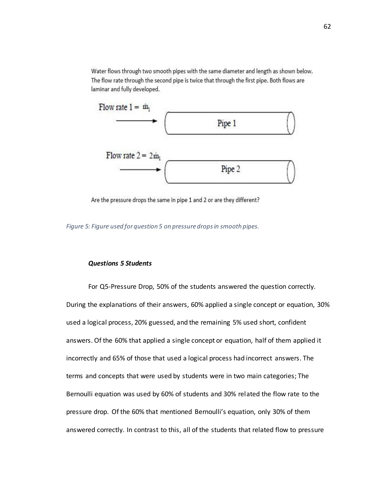Water flows through two smooth pipes with the same diameter and length as shown below. The flow rate through the second pipe is twice that through the first pipe. Both flows are laminar and fully developed.



Are the pressure drops the same in pipe 1 and 2 or are they different?

*Figure 5: Figure used for question 5 on pressure drops in smooth pipes.* 

# *Questions 5 Students*

For Q5-Pressure Drop, 50% of the students answered the question correctly. During the explanations of their answers, 60% applied a single concept or equation, 30% used a logical process, 20% guessed, and the remaining 5% used short, confident answers. Of the 60% that applied a single concept or equation, half of them applied it incorrectly and 65% of those that used a logical process had incorrect answers. The terms and concepts that were used by students were in two main categories; The Bernoulli equation was used by 60% of students and 30% related the flow rate to the pressure drop. Of the 60% that mentioned Bernoulli's equation, only 30% of them answered correctly. In contrast to this, all of the students that related flow to pressure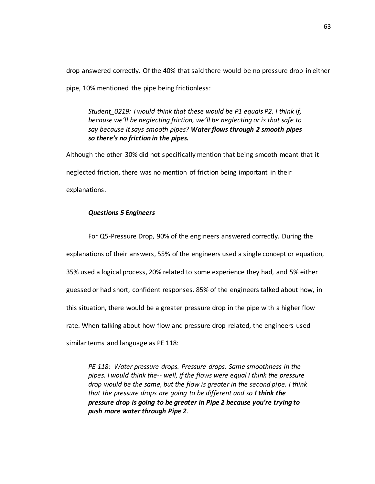drop answered correctly. Of the 40% that said there would be no pressure drop in either pipe, 10% mentioned the pipe being frictionless:

*Student\_0219: I would think that these would be P1 equals P2. I think if, because we'll be neglecting friction, we'll be neglecting or is that safe to say because it says smooth pipes? Water flows through 2 smooth pipes so there's no friction in the pipes.*

Although the other 30% did not specifically mention that being smooth meant that it neglected friction, there was no mention of friction being important in their explanations.

# *Questions 5 Engineers*

For Q5-Pressure Drop, 90% of the engineers answered correctly. During the explanations of their answers, 55% of the engineers used a single concept or equation, 35% used a logical process, 20% related to some experience they had, and 5% either guessed or had short, confident responses. 85% of the engineers talked about how, in this situation, there would be a greater pressure drop in the pipe with a higher flow rate. When talking about how flow and pressure drop related, the engineers used similar terms and language as PE 118:

*PE 118: Water pressure drops. Pressure drops. Same smoothness in the pipes. I would think the-- well, if the flows were equal I think the pressure drop would be the same, but the flow is greater in the second pipe. I think that the pressure drops are going to be different and so I think the pressure drop is going to be greater in Pipe 2 because you're trying to push more water through Pipe 2.*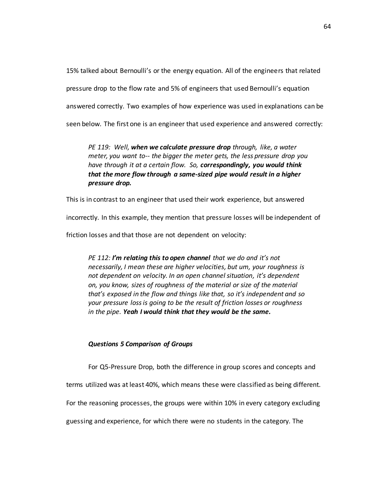15% talked about Bernoulli's or the energy equation. All of the engineers that related pressure drop to the flow rate and 5% of engineers that used Bernoulli's equation answered correctly. Two examples of how experience was used in explanations can be seen below. The first one is an engineer that used experience and answered correctly:

*PE 119: Well, when we calculate pressure drop through, like, a water meter, you want to-- the bigger the meter gets, the less pressure drop you have through it at a certain flow. So, correspondingly, you would think that the more flow through a same-sized pipe would result in a higher pressure drop.*

This is in contrast to an engineer that used their work experience, but answered

incorrectly. In this example, they mention that pressure losses will be independent of

friction losses and that those are not dependent on velocity:

*PE 112: I'm relating this to open channel that we do and it's not necessarily, I mean these are higher velocities, but um, your roughness is not dependent on velocity. In an open channel situation, it's dependent on, you know, sizes of roughness of the material or size of the material that's exposed in the flow and things like that, so it's independent and so your pressure loss is going to be the result of friction losses or roughness in the pipe. Yeah I would think that they would be the same.* 

#### *Questions 5 Comparison of Groups*

For Q5-Pressure Drop, both the difference in group scores and concepts and

terms utilized was at least 40%, which means these were classified as being different.

For the reasoning processes, the groups were within 10% in every category excluding

guessing and experience, for which there were no students in the category. The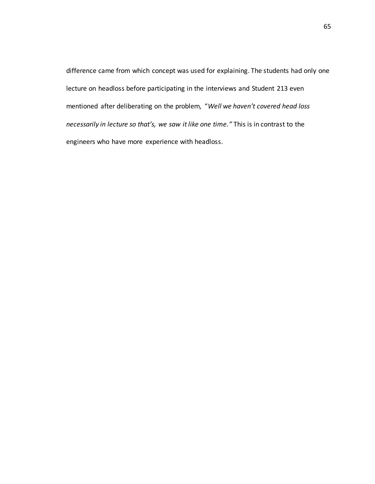difference came from which concept was used for explaining. The students had only one lecture on headloss before participating in the interviews and Student 213 even mentioned after deliberating on the problem, "*Well we haven't covered head loss necessarily in lecture so that's, we saw it like one time."* This is in contrast to the engineers who have more experience with headloss.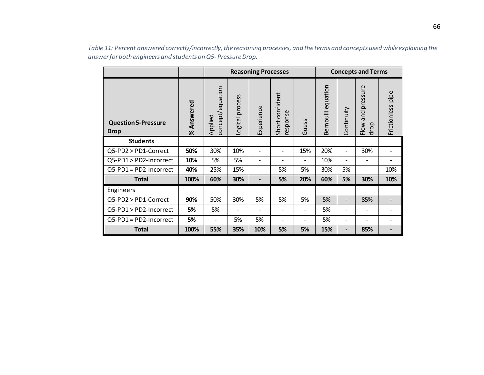|                                           |            |                             |                 | <b>Reasoning Processes</b>   |                             |                          | <b>Concepts and Terms</b> |            |                              |                   |
|-------------------------------------------|------------|-----------------------------|-----------------|------------------------------|-----------------------------|--------------------------|---------------------------|------------|------------------------------|-------------------|
| <b>Question 5-Pressure</b><br><b>Drop</b> | % Answered | concept/equation<br>Applied | Logical process | Experience                   | Short confident<br>response | Guess                    | Bernoulli equation        | Continuity | and pressure<br>Flow<br>drop | Frictionless pipe |
| <b>Students</b>                           |            |                             |                 |                              |                             |                          |                           |            |                              |                   |
| Q5-PD2 > PD1-Correct                      | 50%        | 30%                         | 10%             | $\overline{a}$               |                             | 15%                      | 20%                       | -          | 30%                          |                   |
| Q5-PD1 > PD2-Incorrect                    | 10%        | 5%                          | 5%              | $\qquad \qquad \blacksquare$ |                             | $\overline{\phantom{a}}$ | 10%                       | -          |                              |                   |
| $Q5-PD1 = PD2-Incorrect$                  | 40%        | 25%                         | 15%             | $\qquad \qquad -$            | 5%                          | 5%                       | 30%                       | 5%         | $\overline{a}$               | 10%               |
| <b>Total</b>                              | 100%       | 60%                         | 30%             |                              | 5%                          | 20%                      | 60%                       | 5%         | 30%                          | 10%               |
| Engineers                                 |            |                             |                 |                              |                             |                          |                           |            |                              |                   |
| Q5-PD2 > PD1-Correct                      | 90%        | 50%                         | 30%             | 5%                           | 5%                          | 5%                       | 5%                        | -          | 85%                          |                   |
| Q5-PD1 > PD2-Incorrect                    | 5%         | 5%                          |                 |                              |                             |                          | 5%                        | -          |                              |                   |
| Q5-PD1 = PD2-Incorrect                    | 5%         | -                           | 5%              | 5%                           | $\overline{a}$              |                          | 5%                        | -          |                              |                   |
| <b>Total</b>                              | 100%       | 55%                         | 35%             | 10%                          | 5%                          | 5%                       | 15%                       |            | 85%                          |                   |

*Table 11: Percent answered correctly/incorrectly, the reasoning processes, and the terms and concepts used while explaining the answer for both engineers and students on Q5- Pressure Drop.*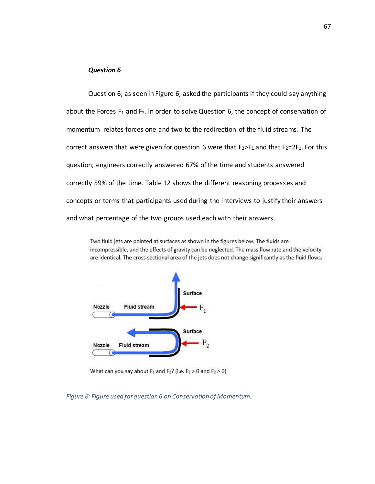#### *Question 6*

Question 6, as seen in Figure 6, asked the participants if they could say anything about the Forces  $F_1$  and  $F_2$ . In order to solve Question 6, the concept of conservation of momentum relates forces one and two to the redirection of the fluid streams. The correct answers that were given for question 6 were that  $F_2>F_1$  and that  $F_2=2F_1$ . For this question, engineers correctly answered 67% of the time and students answered correctly 59% of the time. Table 12 shows the different reasoning processes and concepts or terms that participants used during the interviews to justify their answers and what percentage of the two groups used each with their answers.

Two fluid jets are pointed at surfaces as shown in the figures below. The fluids are incompressible, and the effects of gravity can be neglected. The mass flow rate and the velocity are identical. The cross sectional area of the jets does not change significantly as the fluid flows.



What can you say about  $F_1$  and  $F_2$ ? (i.e.  $F_1 > 0$  and  $F_2 > 0$ )

*Figure 6: Figure used for question 6 on Conservation of Momentum.*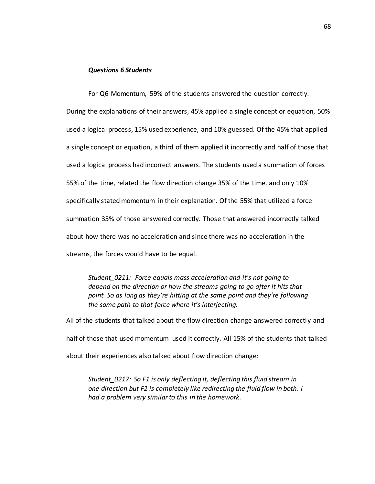# *Questions 6 Students*

For Q6-Momentum, 59% of the students answered the question correctly. During the explanations of their answers, 45% applied a single concept or equation, 50% used a logical process, 15% used experience, and 10% guessed. Of the 45% that applied a single concept or equation, a third of them applied it incorrectly and half of those that used a logical process had incorrect answers. The students used a summation of forces 55% of the time, related the flow direction change 35% of the time, and only 10% specifically stated momentum in their explanation. Of the 55% that utilized a force summation 35% of those answered correctly. Those that answered incorrectly talked about how there was no acceleration and since there was no acceleration in the streams, the forces would have to be equal.

*Student\_0211: Force equals mass acceleration and it's not going to depend on the direction or how the streams going to go after it hits that point. So as long as they're hitting at the same point and they're following the same path to that force where it's interjecting.*

All of the students that talked about the flow direction change answered correctly and half of those that used momentum used it correctly. All 15% of the students that talked about their experiences also talked about flow direction change:

*Student\_0217: So F1 is only deflecting it, deflecting this fluid stream in one direction but F2 is completely like redirecting the fluid flow in both. I had a problem very similar to this in the homework.*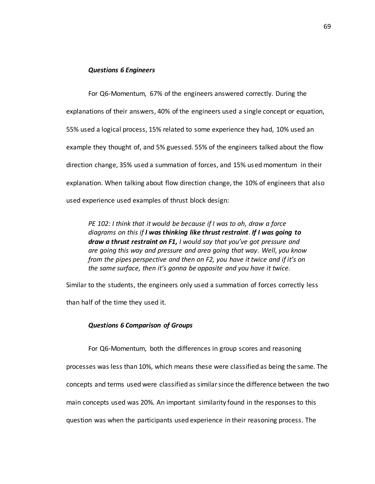# *Questions 6 Engineers*

For Q6-Momentum, 67% of the engineers answered correctly. During the explanations of their answers, 40% of the engineers used a single concept or equation, 55% used a logical process, 15% related to some experience they had, 10% used an example they thought of, and 5% guessed. 55% of the engineers talked about the flow direction change, 35% used a summation of forces, and 15% used momentum in their explanation. When talking about flow direction change, the 10% of engineers that also used experience used examples of thrust block design:

*PE 102: I think that it would be because if I was to ah, draw a force diagrams on this if I was thinking like thrust restraint. If I was going to draw a thrust restraint on F1, I would say that you've got pressure and are going this way and pressure and area going that way. Well, you know from the pipes perspective and then on F2, you have it twice and if it's on the same surface, then it's gonna be opposite and you have it twice.* 

Similar to the students, the engineers only used a summation of forces correctly less than half of the time they used it.

#### *Questions 6 Comparison of Groups*

For Q6-Momentum, both the differences in group scores and reasoning processes was less than 10%, which means these were classified as being the same. The concepts and terms used were classified as similar since the difference between the two main concepts used was 20%. An important similarity found in the responses to this question was when the participants used experience in their reasoning process. The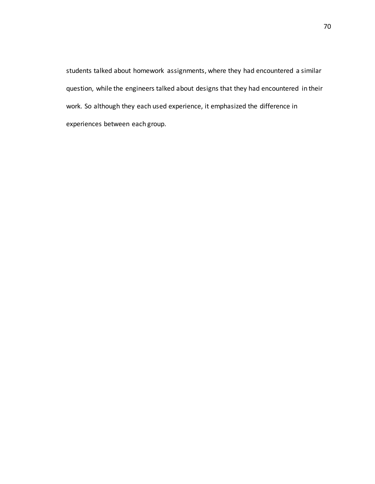students talked about homework assignments, where they had encountered a similar question, while the engineers talked about designs that they had encountered in their work. So although they each used experience, it emphasized the difference in experiences between each group.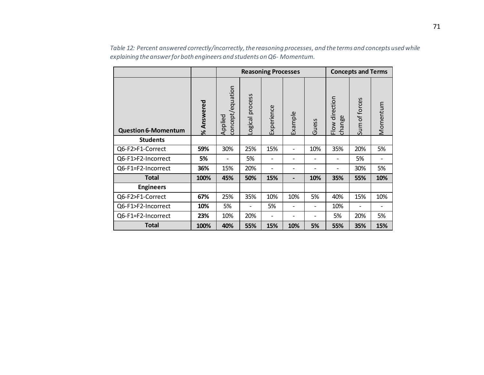|                            |            |                             |                 | <b>Reasoning Processes</b> | <b>Concepts and Terms</b>    |       |                          |               |          |
|----------------------------|------------|-----------------------------|-----------------|----------------------------|------------------------------|-------|--------------------------|---------------|----------|
| <b>Question 6-Momentum</b> | % Answered | concept/equation<br>Applied | Logical process | Experience                 | Example                      | Guess | Flow direction<br>change | Sum of forces | Momentum |
| <b>Students</b>            |            |                             |                 |                            |                              |       |                          |               |          |
| Q6-F2>F1-Correct           | 59%        | 30%                         | 25%             | 15%                        | $\overline{\phantom{a}}$     | 10%   | 35%                      | 20%           | 5%       |
| Q6-F1>F2-Incorrect         | 5%         |                             | 5%              |                            |                              |       |                          | 5%            |          |
| Q6-F1=F2-Incorrect         | 36%        | 15%                         | 20%             | $\overline{\phantom{a}}$   | -                            |       |                          | 30%           | 5%       |
| <b>Total</b>               | 100%       | 45%                         | 50%             | 15%                        | $\blacksquare$               | 10%   | 35%                      | 55%           | 10%      |
| <b>Engineers</b>           |            |                             |                 |                            |                              |       |                          |               |          |
| Q6-F2>F1-Correct           | 67%        | 25%                         | 35%             | 10%                        | 10%                          | 5%    | 40%                      | 15%           | 10%      |
| Q6-F1>F2-Incorrect         | 10%        | 5%                          |                 | 5%                         | $\overline{\phantom{a}}$     |       | 10%                      |               |          |
| Q6-F1=F2-Incorrect         | 23%        | 10%                         | 20%             | $\overline{\phantom{a}}$   | $\qquad \qquad \blacksquare$ |       | 5%                       | 20%           | 5%       |
| <b>Total</b>               | 100%       | 40%                         | 55%             | 15%                        | 10%                          | 5%    | 55%                      | 35%           | 15%      |

*Table 12: Percent answered correctly/incorrectly, the reasoning processes, and the terms and concepts used while explaining the answer for both engineers and students on Q6- Momentum.*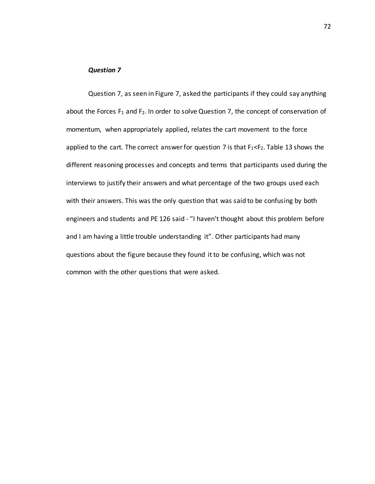#### *Question 7*

Question 7, as seen in Figure 7, asked the participants if they could say anything about the Forces  $F_1$  and  $F_2$ . In order to solve Question 7, the concept of conservation of momentum, when appropriately applied, relates the cart movement to the force applied to the cart. The correct answer for question 7 is that  $F_1 < F_2$ . Table 13 shows the different reasoning processes and concepts and terms that participants used during the interviews to justify their answers and what percentage of the two groups used each with their answers. This was the only question that was said to be confusing by both engineers and students and PE 126 said - "I haven't thought about this problem before and I am having a little trouble understanding it". Other participants had many questions about the figure because they found it to be confusing, which was not common with the other questions that were asked.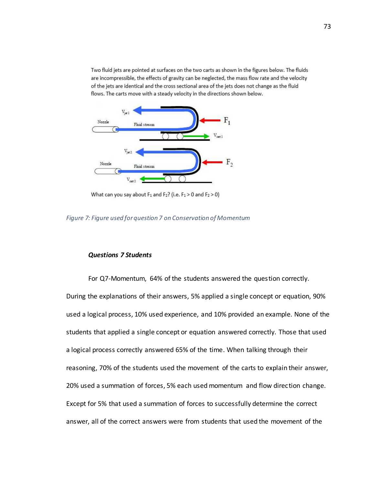Two fluid jets are pointed at surfaces on the two carts as shown in the figures below. The fluids are incompressible, the effects of gravity can be neglected, the mass flow rate and the velocity of the jets are identical and the cross sectional area of the jets does not change as the fluid flows. The carts move with a steady velocity in the directions shown below.



What can you say about  $F_1$  and  $F_2$ ? (i.e.  $F_1 > 0$  and  $F_2 > 0$ )

*Figure 7: Figure used for question 7 on Conservation of Momentum* 

# *Questions 7 Students*

For Q7-Momentum, 64% of the students answered the question correctly. During the explanations of their answers, 5% applied a single concept or equation, 90% used a logical process, 10% used experience, and 10% provided an example. None of the students that applied a single concept or equation answered correctly. Those that used a logical process correctly answered 65% of the time. When talking through their reasoning, 70% of the students used the movement of the carts to explain their answer, 20% used a summation of forces, 5% each used momentum and flow direction change. Except for 5% that used a summation of forces to successfully determine the correct answer, all of the correct answers were from students that used the movement of the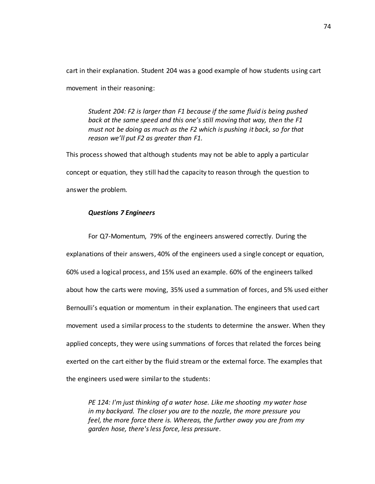cart in their explanation. Student 204 was a good example of how students using cart movement in their reasoning:

*Student 204: F2 is larger than F1 because if the same fluid is being pushed back at the same speed and this one's still moving that way, then the F1 must not be doing as much as the F2 which is pushing it back, so for that reason we'll put F2 as greater than F1.* 

This process showed that although students may not be able to apply a particular concept or equation, they still had the capacity to reason through the question to answer the problem.

#### *Questions 7 Engineers*

For Q7-Momentum, 79% of the engineers answered correctly. During the explanations of their answers, 40% of the engineers used a single concept or equation, 60% used a logical process, and 15% used an example. 60% of the engineers talked about how the carts were moving, 35% used a summation of forces, and 5% used either Bernoulli's equation or momentum in their explanation. The engineers that used cart movement used a similar process to the students to determine the answer. When they applied concepts, they were using summations of forces that related the forces being exerted on the cart either by the fluid stream or the external force. The examples that the engineers used were similar to the students:

*PE 124: I'm just thinking of a water hose. Like me shooting my water hose in my backyard. The closer you are to the nozzle, the more pressure you feel, the more force there is. Whereas, the further away you are from my garden hose, there's less force, less pressure.*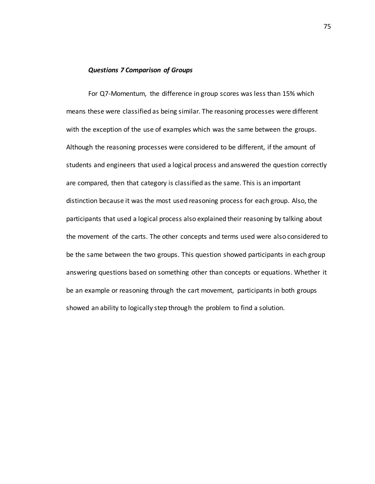#### *Questions 7 Comparison of Groups*

For Q7-Momentum, the difference in group scores was less than 15% which means these were classified as being similar. The reasoning processes were different with the exception of the use of examples which was the same between the groups. Although the reasoning processes were considered to be different, if the amount of students and engineers that used a logical process and answered the question correctly are compared, then that category is classified as the same. This is an important distinction because it was the most used reasoning process for each group. Also, the participants that used a logical process also explained their reasoning by talking about the movement of the carts. The other concepts and terms used were also considered to be the same between the two groups. This question showed participants in each group answering questions based on something other than concepts or equations. Whether it be an example or reasoning through the cart movement, participants in both groups showed an ability to logically step through the problem to find a solution.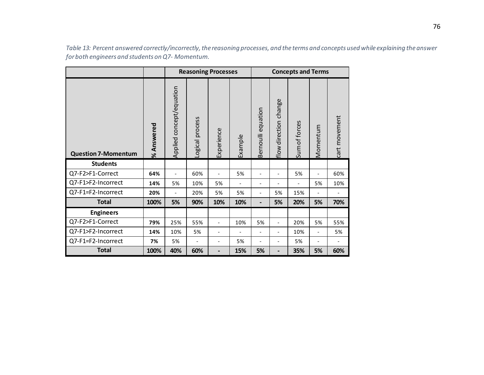|                            |            |                          |                 | <b>Reasoning Processes</b> |         | <b>Concepts and Terms</b> |                          |               |                          |               |
|----------------------------|------------|--------------------------|-----------------|----------------------------|---------|---------------------------|--------------------------|---------------|--------------------------|---------------|
| <b>Question 7-Momentum</b> | % Answered | Applied concept/equation | Logical process | Experience                 | Example | Bernoulli equation        | flow direction change    | Sum of forces | Momentum                 | cart movement |
| <b>Students</b>            |            |                          |                 |                            |         |                           |                          |               |                          |               |
| Q7-F2>F1-Correct           | 64%        | $\overline{\phantom{a}}$ | 60%             |                            | 5%      | $\overline{\phantom{a}}$  | $\overline{\phantom{a}}$ | 5%            | $\overline{\phantom{0}}$ | 60%           |
| Q7-F1>F2-Incorrect         | 14%        | 5%                       | 10%             | 5%                         |         | $\overline{\phantom{0}}$  |                          |               | 5%                       | 10%           |
| Q7-F1=F2-Incorrect         | 20%        | $\overline{\phantom{a}}$ | 20%             | 5%                         | 5%      | $\overline{\phantom{0}}$  | 5%                       | 15%           |                          |               |
| <b>Total</b>               | 100%       | 5%                       | 90%             | 10%                        | 10%     | -                         | 5%                       | 20%           | 5%                       | 70%           |
| <b>Engineers</b>           |            |                          |                 |                            |         |                           |                          |               |                          |               |
| Q7-F2>F1-Correct           | 79%        | 25%                      | 55%             |                            | 10%     | 5%                        | $\overline{\phantom{a}}$ | 20%           | 5%                       | 55%           |
| Q7-F1>F2-Incorrect         | 14%        | 10%                      | 5%              |                            |         | $\overline{\phantom{a}}$  |                          | 10%           | $\overline{a}$           | 5%            |
| Q7-F1=F2-Incorrect         | 7%         | 5%                       |                 |                            | 5%      |                           |                          | 5%            |                          |               |
| <b>Total</b>               | 100%       | 40%                      | 60%             | -                          | 15%     | 5%                        | $\overline{\phantom{a}}$ | 35%           | 5%                       | 60%           |

*Table 13: Percent answered correctly/incorrectly, the reasoning processes, and the terms and concepts used while explaining the answer for both engineers and students on Q7- Momentum.*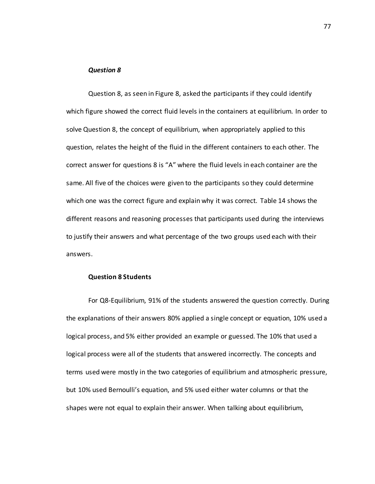#### *Question 8*

Question 8, as seen in Figure 8, asked the participants if they could identify which figure showed the correct fluid levels in the containers at equilibrium. In order to solve Question 8, the concept of equilibrium, when appropriately applied to this question, relates the height of the fluid in the different containers to each other. The correct answer for questions 8 is "A" where the fluid levels in each container are the same. All five of the choices were given to the participants so they could determine which one was the correct figure and explain why it was correct. Table 14 shows the different reasons and reasoning processes that participants used during the interviews to justify their answers and what percentage of the two groups used each with their answers.

#### **Question 8 Students**

For Q8-Equilibrium, 91% of the students answered the question correctly. During the explanations of their answers 80% applied a single concept or equation, 10% used a logical process, and 5% either provided an example or guessed. The 10% that used a logical process were all of the students that answered incorrectly. The concepts and terms used were mostly in the two categories of equilibrium and atmospheric pressure, but 10% used Bernoulli's equation, and 5% used either water columns or that the shapes were not equal to explain their answer. When talking about equilibrium,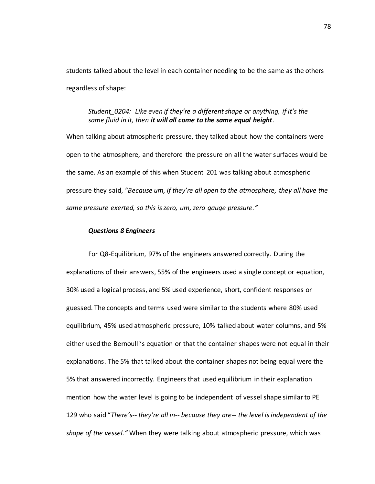students talked about the level in each container needing to be the same as the others regardless of shape:

# *Student\_0204: Like even if they're a different shape or anything, if it's the same fluid in it, then it will all come to the same equal height.*

When talking about atmospheric pressure, they talked about how the containers were open to the atmosphere, and therefore the pressure on all the water surfaces would be the same. As an example of this when Student 201 was talking about atmospheric pressure they said, *"Because um, if they're all open to the atmosphere, they all have the same pressure exerted, so this is zero, um, zero gauge pressure."*

#### *Questions 8 Engineers*

For Q8-Equilibrium, 97% of the engineers answered correctly. During the explanations of their answers, 55% of the engineers used a single concept or equation, 30% used a logical process, and 5% used experience, short, confident responses or guessed. The concepts and terms used were similar to the students where 80% used equilibrium, 45% used atmospheric pressure, 10% talked about water columns, and 5% either used the Bernoulli's equation or that the container shapes were not equal in their explanations. The 5% that talked about the container shapes not being equal were the 5% that answered incorrectly. Engineers that used equilibrium in their explanation mention how the water level is going to be independent of vessel shape similar to PE 129 who said "*There's-- they're all in-- because they are-- the level is independent of the shape of the vessel."* When they were talking about atmospheric pressure, which was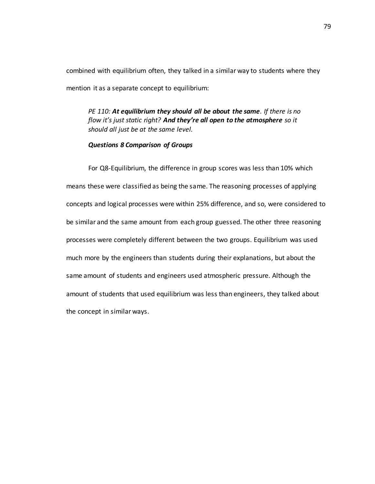combined with equilibrium often, they talked in a similar way to students where they mention it as a separate concept to equilibrium:

*PE 110: At equilibrium they should all be about the same. If there is no flow it's just static right? And they're all open to the atmosphere so it should all just be at the same level.* 

# *Questions 8 Comparison of Groups*

For Q8-Equilibrium, the difference in group scores was less than 10% which means these were classified as being the same. The reasoning processes of applying concepts and logical processes were within 25% difference, and so, were considered to be similar and the same amount from each group guessed. The other three reasoning processes were completely different between the two groups. Equilibrium was used much more by the engineers than students during their explanations, but about the same amount of students and engineers used atmospheric pressure. Although the amount of students that used equilibrium was less than engineers, they talked about the concept in similar ways.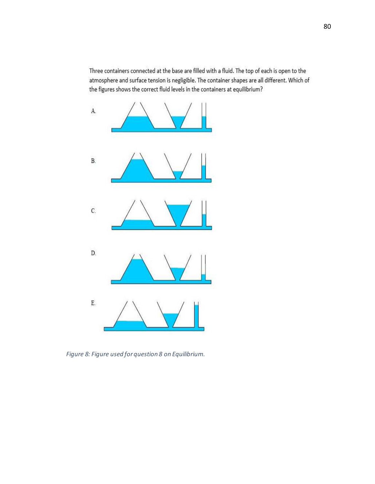Three containers connected at the base are filled with a fluid. The top of each is open to the atmosphere and surface tension is negligible. The container shapes are all different. Which of the figures shows the correct fluid levels in the containers at equilibrium?



*Figure 8: Figure used for question 8 on Equilibrium.*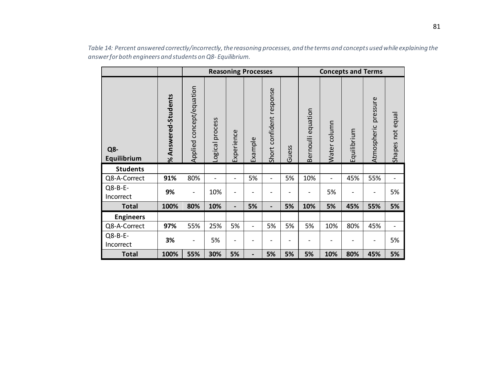|                      |                     |                              |                 |                | <b>Reasoning Processes</b> |                          |                          |                    |              | <b>Concepts and Terms</b> |                              |                     |
|----------------------|---------------------|------------------------------|-----------------|----------------|----------------------------|--------------------------|--------------------------|--------------------|--------------|---------------------------|------------------------------|---------------------|
| Q8-<br>Equilibrium   | % Answered-Students | Applied concept/equation     | Logical process | Experience     | Example                    | Short confident response | Guess                    | Bernoulli equation | Water column | Equilibrium               | pressure<br>Atmospheric      | not equal<br>Shapes |
| <b>Students</b>      |                     |                              |                 |                |                            |                          |                          |                    |              |                           |                              |                     |
| Q8-A-Correct         | 91%                 | 80%                          | -               | -              | 5%                         | $\overline{\phantom{0}}$ | 5%                       | 10%                |              | 45%                       | 55%                          |                     |
| Q8-B-E-<br>Incorrect | 9%                  |                              | 10%             |                |                            |                          |                          |                    | 5%           |                           | -                            | 5%                  |
| <b>Total</b>         | 100%                | 80%                          | 10%             | -              | 5%                         | $\overline{\phantom{0}}$ | 5%                       | 10%                | 5%           | 45%                       | 55%                          | 5%                  |
| <b>Engineers</b>     |                     |                              |                 |                |                            |                          |                          |                    |              |                           |                              |                     |
| Q8-A-Correct         | 97%                 | 55%                          | 25%             | 5%             | $\overline{\phantom{0}}$   | 5%                       | 5%                       | 5%                 | 10%          | 80%                       | 45%                          | $\blacksquare$      |
| Q8-B-E-<br>Incorrect | 3%                  | $\qquad \qquad \blacksquare$ | 5%              | $\overline{a}$ |                            | -                        | $\overline{\phantom{0}}$ |                    |              |                           | $\qquad \qquad \blacksquare$ | 5%                  |
| <b>Total</b>         | 100%                | 55%                          | 30%             | 5%             | $\blacksquare$             | 5%                       | 5%                       | 5%                 | 10%          | 80%                       | 45%                          | 5%                  |

*Table 14: Percent answered correctly/incorrectly, the reasoning processes, and the terms and concepts used while explaining the answer for both engineers and students on Q8- Equilibrium.*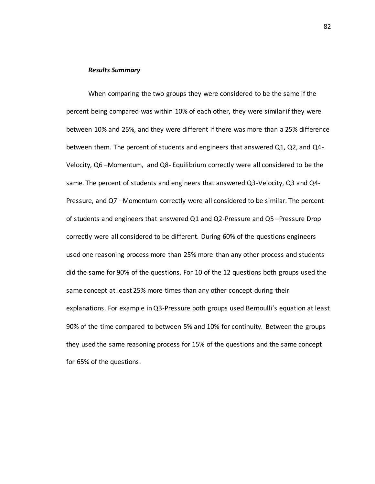#### *Results Summary*

When comparing the two groups they were considered to be the same if the percent being compared was within 10% of each other, they were similar if they were between 10% and 25%, and they were different if there was more than a 25% difference between them. The percent of students and engineers that answered Q1, Q2, and Q4- Velocity, Q6 –Momentum, and Q8- Equilibrium correctly were all considered to be the same. The percent of students and engineers that answered Q3-Velocity, Q3 and Q4- Pressure, and Q7 –Momentum correctly were all considered to be similar. The percent of students and engineers that answered Q1 and Q2-Pressure and Q5 –Pressure Drop correctly were all considered to be different. During 60% of the questions engineers used one reasoning process more than 25% more than any other process and students did the same for 90% of the questions. For 10 of the 12 questions both groups used the same concept at least 25% more times than any other concept during their explanations. For example in Q3-Pressure both groups used Bernoulli's equation at least 90% of the time compared to between 5% and 10% for continuity. Between the groups they used the same reasoning process for 15% of the questions and the same concept for 65% of the questions.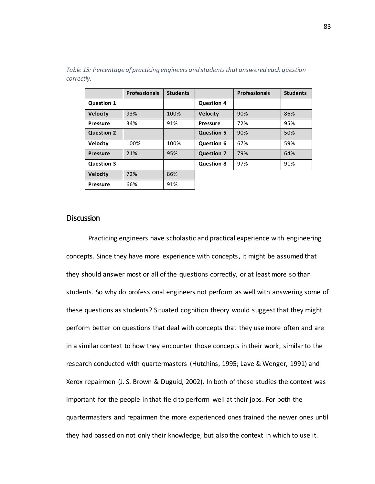|                   | <b>Professionals</b> | <b>Students</b> |                   | <b>Professionals</b> | <b>Students</b> |
|-------------------|----------------------|-----------------|-------------------|----------------------|-----------------|
| <b>Question 1</b> |                      |                 | <b>Question 4</b> |                      |                 |
| <b>Velocity</b>   | 93%                  | 100%            | <b>Velocity</b>   | 90%                  | 86%             |
| <b>Pressure</b>   | 34%                  | 91%             | <b>Pressure</b>   | 72%                  | 95%             |
| <b>Question 2</b> |                      |                 | <b>Question 5</b> | 90%                  | 50%             |
| <b>Velocity</b>   | 100%                 | 100%            | <b>Question 6</b> | 67%                  | 59%             |
| <b>Pressure</b>   | 21%                  | 95%             | <b>Question 7</b> | 79%                  | 64%             |
| <b>Question 3</b> |                      |                 | <b>Question 8</b> | 97%                  | 91%             |
| <b>Velocity</b>   | 72%                  | 86%             |                   |                      |                 |
| <b>Pressure</b>   | 66%                  | 91%             |                   |                      |                 |

*Table 15: Percentage of practicing engineers and students that answered each question correctly.* 

#### Discussion

Practicing engineers have scholastic and practical experience with engineering concepts. Since they have more experience with concepts, it might be assumed that they should answer most or all of the questions correctly, or at least more so than students. So why do professional engineers not perform as well with answering some of these questions as students? Situated cognition theory would suggest that they might perform better on questions that deal with concepts that they use more often and are in a similar context to how they encounter those concepts in their work, similar to the research conducted with quartermasters (Hutchins, 1995; Lave & Wenger, 1991) and Xerox repairmen (J. S. Brown & Duguid, 2002). In both of these studies the context was important for the people in that field to perform well at their jobs. For both the quartermasters and repairmen the more experienced ones trained the newer ones until they had passed on not only their knowledge, but also the context in which to use it.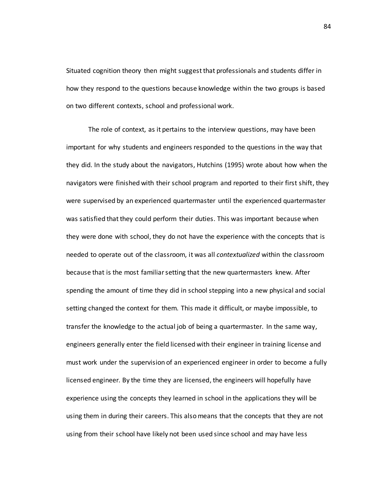Situated cognition theory then might suggest that professionals and students differ in how they respond to the questions because knowledge within the two groups is based on two different contexts, school and professional work.

The role of context, as it pertains to the interview questions, may have been important for why students and engineers responded to the questions in the way that they did. In the study about the navigators, Hutchins (1995) wrote about how when the navigators were finished with their school program and reported to their first shift, they were supervised by an experienced quartermaster until the experienced quartermaster was satisfied that they could perform their duties. This was important because when they were done with school, they do not have the experience with the concepts that is needed to operate out of the classroom, it was all *contextualized* within the classroom because that is the most familiar setting that the new quartermasters knew. After spending the amount of time they did in school stepping into a new physical and social setting changed the context for them. This made it difficult, or maybe impossible, to transfer the knowledge to the actual job of being a quartermaster. In the same way, engineers generally enter the field licensed with their engineer in training license and must work under the supervision of an experienced engineer in order to become a fully licensed engineer. By the time they are licensed, the engineers will hopefully have experience using the concepts they learned in school in the applications they will be using them in during their careers. This also means that the concepts that they are not using from their school have likely not been used since school and may have less

84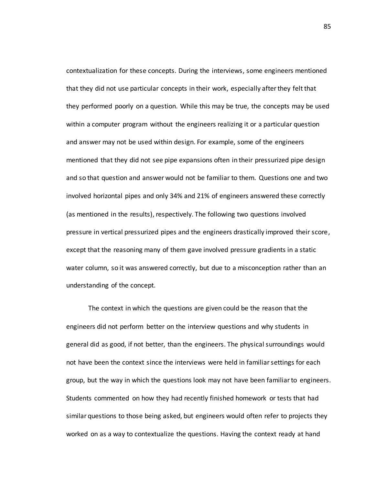contextualization for these concepts. During the interviews, some engineers mentioned that they did not use particular concepts in their work, especially after they felt that they performed poorly on a question. While this may be true, the concepts may be used within a computer program without the engineers realizing it or a particular question and answer may not be used within design. For example, some of the engineers mentioned that they did not see pipe expansions often in their pressurized pipe design and so that question and answer would not be familiar to them. Questions one and two involved horizontal pipes and only 34% and 21% of engineers answered these correctly (as mentioned in the results), respectively. The following two questions involved pressure in vertical pressurized pipes and the engineers drastically improved their score, except that the reasoning many of them gave involved pressure gradients in a static water column, so it was answered correctly, but due to a misconception rather than an understanding of the concept.

The context in which the questions are given could be the reason that the engineers did not perform better on the interview questions and why students in general did as good, if not better, than the engineers. The physical surroundings would not have been the context since the interviews were held in familiar settings for each group, but the way in which the questions look may not have been familiar to engineers. Students commented on how they had recently finished homework or tests that had similar questions to those being asked, but engineers would often refer to projects they worked on as a way to contextualize the questions. Having the context ready at hand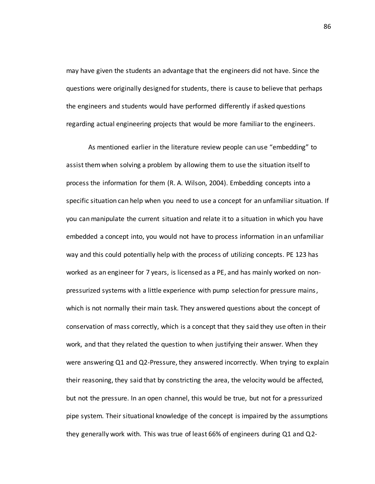may have given the students an advantage that the engineers did not have. Since the questions were originally designed for students, there is cause to believe that perhaps the engineers and students would have performed differently if asked questions regarding actual engineering projects that would be more familiar to the engineers.

As mentioned earlier in the literature review people can use "embedding" to assist them when solving a problem by allowing them to use the situation itself to process the information for them (R. A. Wilson, 2004). Embedding concepts into a specific situation can help when you need to use a concept for an unfamiliar situation. If you can manipulate the current situation and relate it to a situation in which you have embedded a concept into, you would not have to process information in an unfamiliar way and this could potentially help with the process of utilizing concepts. PE 123 has worked as an engineer for 7 years, is licensed as a PE, and has mainly worked on nonpressurized systems with a little experience with pump selection for pressure mains , which is not normally their main task. They answered questions about the concept of conservation of mass correctly, which is a concept that they said they use often in their work, and that they related the question to when justifying their answer. When they were answering Q1 and Q2-Pressure, they answered incorrectly. When trying to explain their reasoning, they said that by constricting the area, the velocity would be affected, but not the pressure. In an open channel, this would be true, but not for a pressurized pipe system. Their situational knowledge of the concept is impaired by the assumptions they generally work with. This was true of least 66% of engineers during Q1 and Q2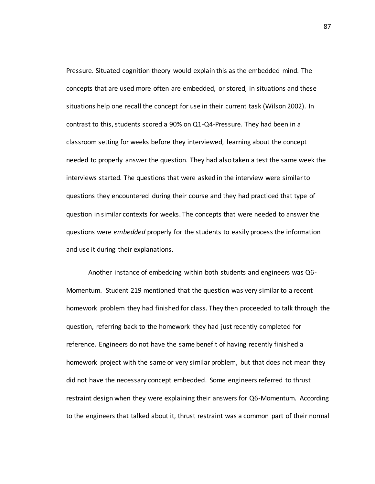Pressure. Situated cognition theory would explain this as the embedded mind. The concepts that are used more often are embedded, or stored, in situations and these situations help one recall the concept for use in their current task (Wilson 2002). In contrast to this, students scored a 90% on Q1-Q4-Pressure. They had been in a classroom setting for weeks before they interviewed, learning about the concept needed to properly answer the question. They had also taken a test the same week the interviews started. The questions that were asked in the interview were similar to questions they encountered during their course and they had practiced that type of question in similar contexts for weeks. The concepts that were needed to answer the questions were *embedded* properly for the students to easily process the information and use it during their explanations.

 Another instance of embedding within both students and engineers was Q6- Momentum. Student 219 mentioned that the question was very similar to a recent homework problem they had finished for class. They then proceeded to talk through the question, referring back to the homework they had just recently completed for reference. Engineers do not have the same benefit of having recently finished a homework project with the same or very similar problem, but that does not mean they did not have the necessary concept embedded. Some engineers referred to thrust restraint design when they were explaining their answers for Q6-Momentum. According to the engineers that talked about it, thrust restraint was a common part of their normal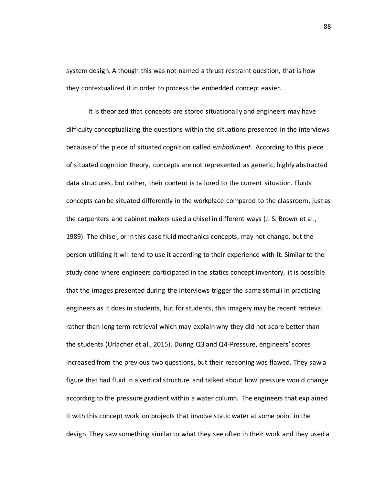system design. Although this was not named a thrust restraint question, that is how they contextualized it in order to process the embedded concept easier.

It is theorized that concepts are stored situationally and engineers may have difficulty conceptualizing the questions within the situations presented in the interviews because of the piece of situated cognition called *embodiment*. According to this piece of situated cognition theory, concepts are not represented as generic, highly abstracted data structures, but rather, their content is tailored to the current situation. Fluids concepts can be situated differently in the workplace compared to the classroom, just as the carpenters and cabinet makers used a chisel in different ways (J. S. Brown et al., 1989). The chisel, or in this case fluid mechanics concepts, may not change, but the person utilizing it will tend to use it according to their experience with it. Similar to the study done where engineers participated in the statics concept inventory, it is possible that the images presented during the interviews trigger the same stimuli in practicing engineers as it does in students, but for students, this imagery may be recent retrieval rather than long term retrieval which may explain why they did not score better than the students (Urlacher et al., 2015). During Q3 and Q4-Pressure, engineers' scores increased from the previous two questions, but their reasoning was flawed. They saw a figure that had fluid in a vertical structure and talked about how pressure would change according to the pressure gradient within a water column. The engineers that explained it with this concept work on projects that involve static water at some point in the design. They saw something similar to what they see often in their work and they used a

88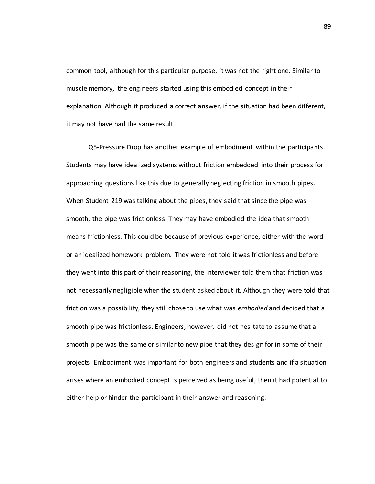common tool, although for this particular purpose, it was not the right one. Similar to muscle memory, the engineers started using this embodied concept in their explanation. Although it produced a correct answer, if the situation had been different, it may not have had the same result.

Q5-Pressure Drop has another example of embodiment within the participants. Students may have idealized systems without friction embedded into their process for approaching questions like this due to generally neglecting friction in smooth pipes. When Student 219 was talking about the pipes, they said that since the pipe was smooth, the pipe was frictionless. They may have embodied the idea that smooth means frictionless. This could be because of previous experience, either with the word or an idealized homework problem. They were not told it was frictionless and before they went into this part of their reasoning, the interviewer told them that friction was not necessarily negligible when the student asked about it. Although they were told that friction was a possibility, they still chose to use what was *embodied* and decided that a smooth pipe was frictionless. Engineers, however, did not hesitate to assume that a smooth pipe was the same or similar to new pipe that they design for in some of their projects. Embodiment was important for both engineers and students and if a situation arises where an embodied concept is perceived as being useful, then it had potential to either help or hinder the participant in their answer and reasoning.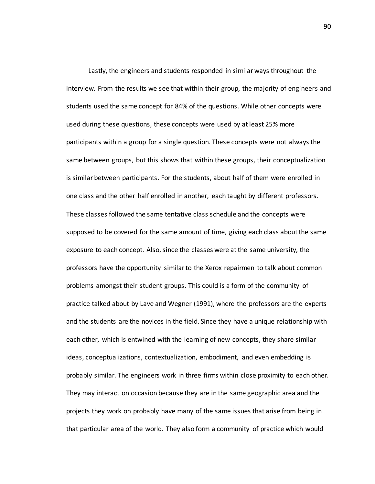Lastly, the engineers and students responded in similar ways throughout the interview. From the results we see that within their group, the majority of engineers and students used the same concept for 84% of the questions. While other concepts were used during these questions, these concepts were used by at least 25% more participants within a group for a single question. These concepts were not always the same between groups, but this shows that within these groups, their conceptualization is similar between participants. For the students, about half of them were enrolled in one class and the other half enrolled in another, each taught by different professors. These classes followed the same tentative class schedule and the concepts were supposed to be covered for the same amount of time, giving each class about the same exposure to each concept. Also, since the classes were at the same university, the professors have the opportunity similar to the Xerox repairmen to talk about common problems amongst their student groups. This could is a form of the community of practice talked about by Lave and Wegner (1991), where the professors are the experts and the students are the novices in the field. Since they have a unique relationship with each other, which is entwined with the learning of new concepts, they share similar ideas, conceptualizations, contextualization, embodiment, and even embedding is probably similar. The engineers work in three firms within close proximity to each other. They may interact on occasion because they are in the same geographic area and the projects they work on probably have many of the same issues that arise from being in that particular area of the world. They also form a community of practice which would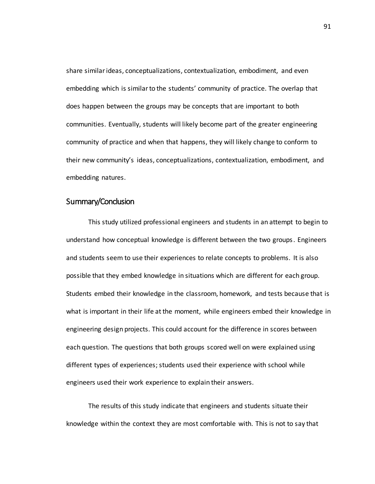share similar ideas, conceptualizations, contextualization, embodiment, and even embedding which is similar to the students' community of practice. The overlap that does happen between the groups may be concepts that are important to both communities. Eventually, students will likely become part of the greater engineering community of practice and when that happens, they will likely change to conform to their new community's ideas, conceptualizations, contextualization, embodiment, and embedding natures.

# Summary/Conclusion

This study utilized professional engineers and students in an attempt to begin to understand how conceptual knowledge is different between the two groups. Engineers and students seem to use their experiences to relate concepts to problems. It is also possible that they embed knowledge in situations which are different for each group. Students embed their knowledge in the classroom, homework, and tests because that is what is important in their life at the moment, while engineers embed their knowledge in engineering design projects. This could account for the difference in scores between each question. The questions that both groups scored well on were explained using different types of experiences; students used their experience with school while engineers used their work experience to explain their answers.

The results of this study indicate that engineers and students situate their knowledge within the context they are most comfortable with. This is not to say that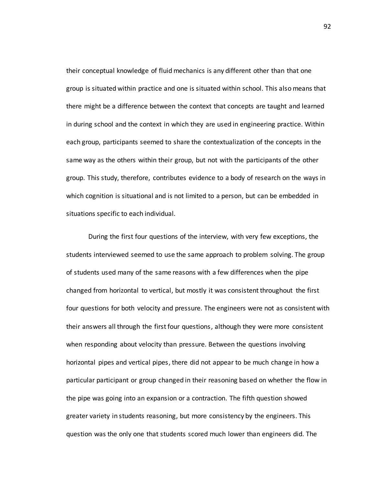their conceptual knowledge of fluid mechanics is any different other than that one group is situated within practice and one is situated within school. This also means that there might be a difference between the context that concepts are taught and learned in during school and the context in which they are used in engineering practice. Within each group, participants seemed to share the contextualization of the concepts in the same way as the others within their group, but not with the participants of the other group. This study, therefore, contributes evidence to a body of research on the ways in which cognition is situational and is not limited to a person, but can be embedded in situations specific to each individual.

During the first four questions of the interview, with very few exceptions, the students interviewed seemed to use the same approach to problem solving. The group of students used many of the same reasons with a few differences when the pipe changed from horizontal to vertical, but mostly it was consistent throughout the first four questions for both velocity and pressure. The engineers were not as consistent with their answers all through the first four questions, although they were more consistent when responding about velocity than pressure. Between the questions involving horizontal pipes and vertical pipes, there did not appear to be much change in how a particular participant or group changed in their reasoning based on whether the flow in the pipe was going into an expansion or a contraction. The fifth question showed greater variety in students reasoning, but more consistency by the engineers. This question was the only one that students scored much lower than engineers did. The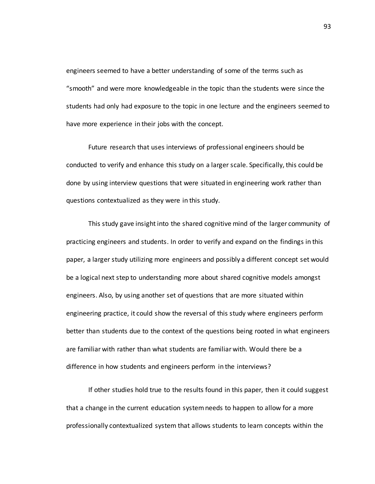engineers seemed to have a better understanding of some of the terms such as "smooth" and were more knowledgeable in the topic than the students were since the students had only had exposure to the topic in one lecture and the engineers seemed to have more experience in their jobs with the concept.

Future research that uses interviews of professional engineers should be conducted to verify and enhance this study on a larger scale. Specifically, this could be done by using interview questions that were situated in engineering work rather than questions contextualized as they were in this study.

This study gave insight into the shared cognitive mind of the larger community of practicing engineers and students. In order to verify and expand on the findings in this paper, a larger study utilizing more engineers and possibly a different concept set would be a logical next step to understanding more about shared cognitive models amongst engineers. Also, by using another set of questions that are more situated within engineering practice, it could show the reversal of this study where engineers perform better than students due to the context of the questions being rooted in what engineers are familiar with rather than what students are familiar with. Would there be a difference in how students and engineers perform in the interviews?

If other studies hold true to the results found in this paper, then it could suggest that a change in the current education system needs to happen to allow for a more professionally contextualized system that allows students to learn concepts within the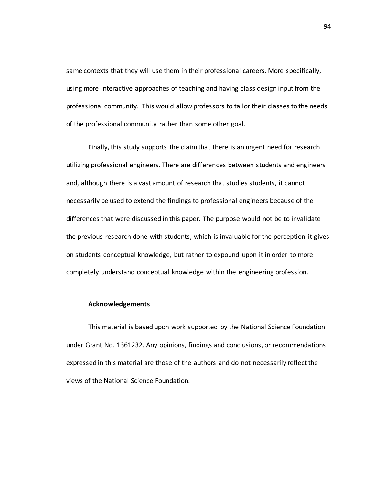same contexts that they will use them in their professional careers. More specifically, using more interactive approaches of teaching and having class design input from the professional community. This would allow professors to tailor their classes to the needs of the professional community rather than some other goal.

Finally, this study supports the claim that there is an urgent need for research utilizing professional engineers. There are differences between students and engineers and, although there is a vast amount of research that studies students, it cannot necessarily be used to extend the findings to professional engineers because of the differences that were discussed in this paper. The purpose would not be to invalidate the previous research done with students, which is invaluable for the perception it gives on students conceptual knowledge, but rather to expound upon it in order to more completely understand conceptual knowledge within the engineering profession.

### **Acknowledgements**

This material is based upon work supported by the National Science Foundation under Grant No. 1361232. Any opinions, findings and conclusions, or recommendations expressed in this material are those of the authors and do not necessarily reflect the views of the National Science Foundation.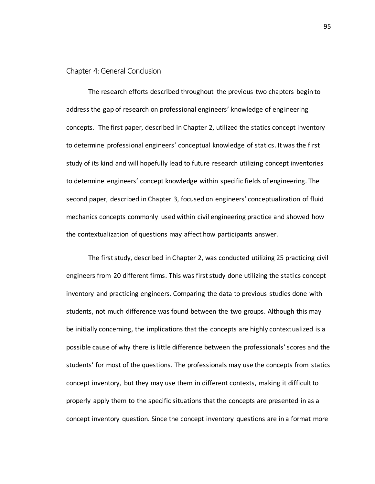## Chapter 4: General Conclusion

The research efforts described throughout the previous two chapters begin to address the gap of research on professional engineers' knowledge of engineering concepts. The first paper, described in Chapter 2, utilized the statics concept inventory to determine professional engineers' conceptual knowledge of statics. It was the first study of its kind and will hopefully lead to future research utilizing concept inventories to determine engineers' concept knowledge within specific fields of engineering. The second paper, described in Chapter 3, focused on engineers' conceptualization of fluid mechanics concepts commonly used within civil engineering practice and showed how the contextualization of questions may affect how participants answer.

The first study, described in Chapter 2, was conducted utilizing 25 practicing civil engineers from 20 different firms. This was first study done utilizing the statics concept inventory and practicing engineers. Comparing the data to previous studies done with students, not much difference was found between the two groups. Although this may be initially concerning, the implications that the concepts are highly contextualized is a possible cause of why there is little difference between the professionals' scores and the students' for most of the questions. The professionals may use the concepts from statics concept inventory, but they may use them in different contexts, making it difficult to properly apply them to the specific situations that the concepts are presented in as a concept inventory question. Since the concept inventory questions are in a format more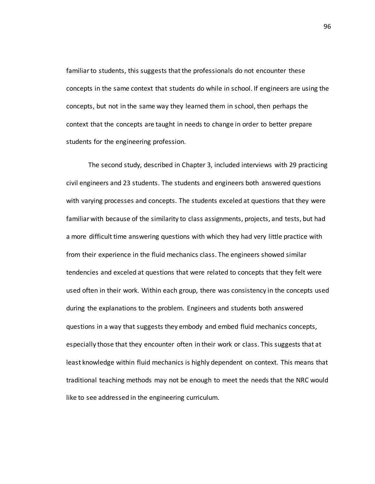familiar to students, this suggests that the professionals do not encounter these concepts in the same context that students do while in school. If engineers are using the concepts, but not in the same way they learned them in school, then perhaps the context that the concepts are taught in needs to change in order to better prepare students for the engineering profession.

The second study, described in Chapter 3, included interviews with 29 practicing civil engineers and 23 students. The students and engineers both answered questions with varying processes and concepts. The students exceled at questions that they were familiar with because of the similarity to class assignments, projects, and tests, but had a more difficult time answering questions with which they had very little practice with from their experience in the fluid mechanics class. The engineers showed similar tendencies and exceled at questions that were related to concepts that they felt were used often in their work. Within each group, there was consistency in the concepts used during the explanations to the problem. Engineers and students both answered questions in a way that suggests they embody and embed fluid mechanics concepts, especially those that they encounter often in their work or class. This suggests that at least knowledge within fluid mechanics is highly dependent on context. This means that traditional teaching methods may not be enough to meet the needs that the NRC would like to see addressed in the engineering curriculum.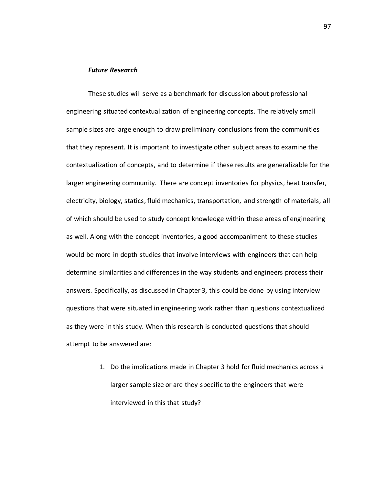## *Future Research*

These studies will serve as a benchmark for discussion about professional engineering situated contextualization of engineering concepts. The relatively small sample sizes are large enough to draw preliminary conclusions from the communities that they represent. It is important to investigate other subject areas to examine the contextualization of concepts, and to determine if these results are generalizable for the larger engineering community. There are concept inventories for physics, heat transfer, electricity, biology, statics, fluid mechanics, transportation, and strength of materials, all of which should be used to study concept knowledge within these areas of engineering as well. Along with the concept inventories, a good accompaniment to these studies would be more in depth studies that involve interviews with engineers that can help determine similarities and differences in the way students and engineers process their answers. Specifically, as discussed in Chapter 3, this could be done by using interview questions that were situated in engineering work rather than questions contextualized as they were in this study. When this research is conducted questions that should attempt to be answered are:

> 1. Do the implications made in Chapter 3 hold for fluid mechanics across a larger sample size or are they specific to the engineers that were interviewed in this that study?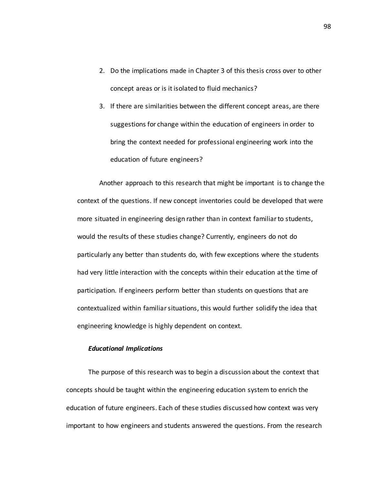- 2. Do the implications made in Chapter 3 of this thesis cross over to other concept areas or is it isolated to fluid mechanics?
- 3. If there are similarities between the different concept areas, are there suggestions for change within the education of engineers in order to bring the context needed for professional engineering work into the education of future engineers?

Another approach to this research that might be important is to change the context of the questions. If new concept inventories could be developed that were more situated in engineering design rather than in context familiar to students, would the results of these studies change? Currently, engineers do not do particularly any better than students do, with few exceptions where the students had very little interaction with the concepts within their education at the time of participation. If engineers perform better than students on questions that are contextualized within familiar situations, this would further solidify the idea that engineering knowledge is highly dependent on context.

#### *Educational Implications*

The purpose of this research was to begin a discussion about the context that concepts should be taught within the engineering education system to enrich the education of future engineers. Each of these studies discussed how context was very important to how engineers and students answered the questions. From the research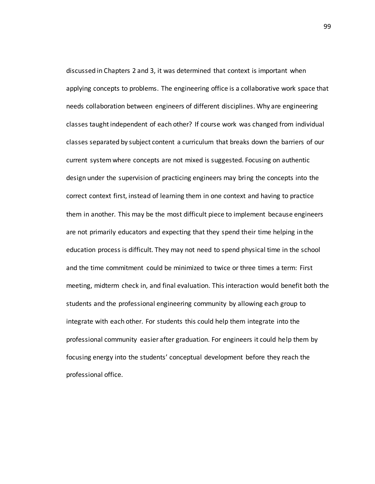discussed in Chapters 2 and 3, it was determined that context is important when applying concepts to problems. The engineering office is a collaborative work space that needs collaboration between engineers of different disciplines. Why are engineering classes taught independent of each other? If course work was changed from individual classes separated by subject content a curriculum that breaks down the barriers of our current system where concepts are not mixed is suggested. Focusing on authentic design under the supervision of practicing engineers may bring the concepts into the correct context first, instead of learning them in one context and having to practice them in another. This may be the most difficult piece to implement because engineers are not primarily educators and expecting that they spend their time helping in the education process is difficult. They may not need to spend physical time in the school and the time commitment could be minimized to twice or three times a term: First meeting, midterm check in, and final evaluation. This interaction would benefit both the students and the professional engineering community by allowing each group to integrate with each other. For students this could help them integrate into the professional community easier after graduation. For engineers it could help them by focusing energy into the students' conceptual development before they reach the professional office.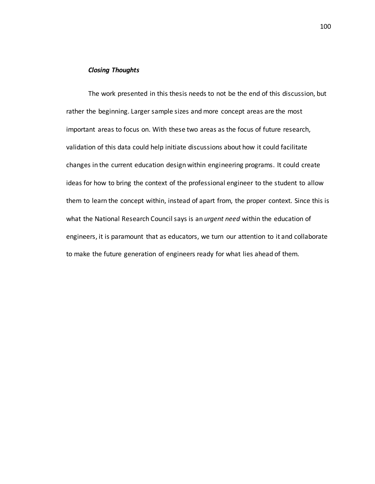## *Closing Thoughts*

The work presented in this thesis needs to not be the end of this discussion, but rather the beginning. Larger sample sizes and more concept areas are the most important areas to focus on. With these two areas as the focus of future research, validation of this data could help initiate discussions about how it could facilitate changes in the current education design within engineering programs. It could create ideas for how to bring the context of the professional engineer to the student to allow them to learn the concept within, instead of apart from, the proper context. Since this is what the National Research Council says is an *urgent need* within the education of engineers, it is paramount that as educators, we turn our attention to it and collaborate to make the future generation of engineers ready for what lies ahead of them.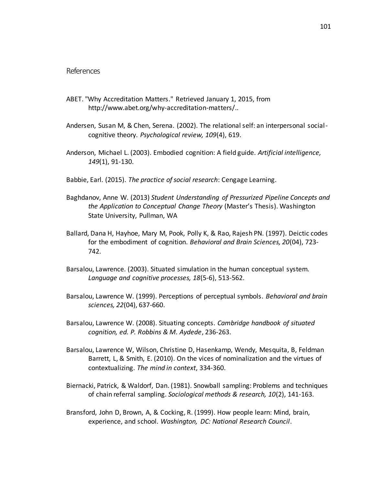# References

- ABET. "Why Accreditation Matters." Retrieved January 1, 2015, from http://www.abet.org/why-accreditation-matters/..
- Andersen, Susan M, & Chen, Serena. (2002). The relational self: an interpersonal socialcognitive theory. *Psychological review, 109*(4), 619.
- Anderson, Michael L. (2003). Embodied cognition: A field guide. *Artificial intelligence, 149*(1), 91-130.
- Babbie, Earl. (2015). *The practice of social research*: Cengage Learning.
- Baghdanov, Anne W. (2013) *Student Understanding of Pressurized Pipeline Concepts and the Application to Conceptual Change Theory* (Master's Thesis). Washington State University, Pullman, WA
- Ballard, Dana H, Hayhoe, Mary M, Pook, Polly K, & Rao, Rajesh PN. (1997). Deictic codes for the embodiment of cognition. *Behavioral and Brain Sciences, 20*(04), 723- 742.
- Barsalou, Lawrence. (2003). Situated simulation in the human conceptual system. *Language and cognitive processes, 18*(5-6), 513-562.
- Barsalou, Lawrence W. (1999). Perceptions of perceptual symbols. *Behavioral and brain sciences, 22*(04), 637-660.
- Barsalou, Lawrence W. (2008). Situating concepts. *Cambridge handbook of situated cognition, ed. P. Robbins & M. Aydede*, 236-263.
- Barsalou, Lawrence W, Wilson, Christine D, Hasenkamp, Wendy, Mesquita, B, Feldman Barrett, L, & Smith, E. (2010). On the vices of nominalization and the virtues of contextualizing. *The mind in context*, 334-360.
- Biernacki, Patrick, & Waldorf, Dan. (1981). Snowball sampling: Problems and techniques of chain referral sampling. *Sociological methods & research, 10*(2), 141-163.
- Bransford, John D, Brown, A, & Cocking, R. (1999). How people learn: Mind, brain, experience, and school. *Washington, DC: National Research Council*.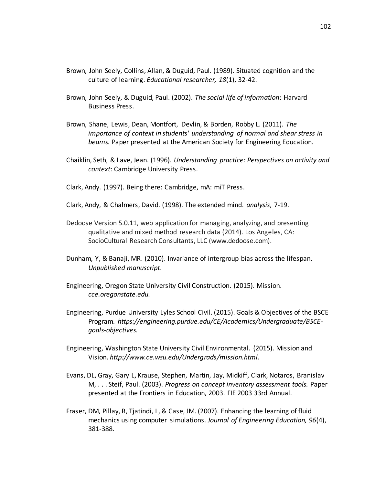- Brown, John Seely, Collins, Allan, & Duguid, Paul. (1989). Situated cognition and the culture of learning. *Educational researcher, 18*(1), 32-42.
- Brown, John Seely, & Duguid, Paul. (2002). *The social life of information*: Harvard Business Press.
- Brown, Shane, Lewis, Dean, Montfort, Devlin, & Borden, Robby L. (2011). *The importance of context in students' understanding of normal and shear stress in beams.* Paper presented at the American Society for Engineering Education.
- Chaiklin, Seth, & Lave, Jean. (1996). *Understanding practice: Perspectives on activity and context*: Cambridge University Press.
- Clark, Andy. (1997). Being there: Cambridge, mA: miT Press.
- Clark, Andy, & Chalmers, David. (1998). The extended mind. *analysis*, 7-19.
- Dedoose Version 5.0.11, web application for managing, analyzing, and presenting qualitative and mixed method research data (2014). Los Angeles, CA: SocioCultural Research Consultants, LLC (www.dedoose.com).
- Dunham, Y, & Banaji, MR. (2010). Invariance of intergroup bias across the lifespan. *Unpublished manuscript*.
- Engineering, Oregon State University Civil Construction. (2015). Mission. *cce.oregonstate.edu.*
- Engineering, Purdue University Lyles School Civil. (2015). Goals & Objectives of the BSCE Program. *https://engineering.purdue.edu/CE/Academics/Undergraduate/BSCEgoals-objectives.*
- Engineering, Washington State University Civil Environmental. (2015). Mission and Vision. *http://www.ce.wsu.edu/Undergrads/mission.html.*
- Evans, DL, Gray, Gary L, Krause, Stephen, Martin, Jay, Midkiff, Clark, Notaros, Branislav M, . . . Steif, Paul. (2003). *Progress on concept inventory assessment tools.* Paper presented at the Frontiers in Education, 2003. FIE 2003 33rd Annual.
- Fraser, DM, Pillay, R, Tjatindi, L, & Case, JM. (2007). Enhancing the learning of fluid mechanics using computer simulations. *Journal of Engineering Education, 96*(4), 381-388.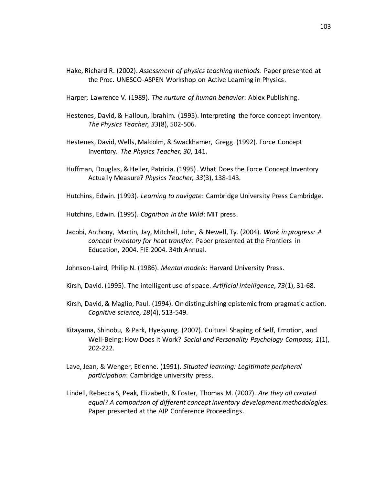Hake, Richard R. (2002). *Assessment of physics teaching methods.* Paper presented at the Proc. UNESCO-ASPEN Workshop on Active Learning in Physics.

Harper, Lawrence V. (1989). *The nurture of human behavior*: Ablex Publishing.

- Hestenes, David, & Halloun, Ibrahim. (1995). Interpreting the force concept inventory. *The Physics Teacher, 33*(8), 502-506.
- Hestenes, David, Wells, Malcolm, & Swackhamer, Gregg. (1992). Force Concept Inventory. *The Physics Teacher, 30*, 141.
- Huffman, Douglas, & Heller, Patricia. (1995). What Does the Force Concept Inventory Actually Measure? *Physics Teacher, 33*(3), 138-143.
- Hutchins, Edwin. (1993). *Learning to navigate*: Cambridge University Press Cambridge.

Hutchins, Edwin. (1995). *Cognition in the Wild*: MIT press.

Jacobi, Anthony, Martin, Jay, Mitchell, John, & Newell, Ty. (2004). *Work in progress: A concept inventory for heat transfer.* Paper presented at the Frontiers in Education, 2004. FIE 2004. 34th Annual.

Johnson-Laird, Philip N. (1986). *Mental models*: Harvard University Press.

Kirsh, David. (1995). The intelligent use of space. *Artificial intelligence, 73*(1), 31-68.

- Kirsh, David, & Maglio, Paul. (1994). On distinguishing epistemic from pragmatic action. *Cognitive science, 18*(4), 513-549.
- Kitayama, Shinobu, & Park, Hyekyung. (2007). Cultural Shaping of Self, Emotion, and Well‐Being: How Does It Work? *Social and Personality Psychology Compass, 1*(1), 202-222.
- Lave, Jean, & Wenger, Etienne. (1991). *Situated learning: Legitimate peripheral participation*: Cambridge university press.
- Lindell, Rebecca S, Peak, Elizabeth, & Foster, Thomas M. (2007). *Are they all created equal? A comparison of different concept inventory development methodologies.* Paper presented at the AIP Conference Proceedings.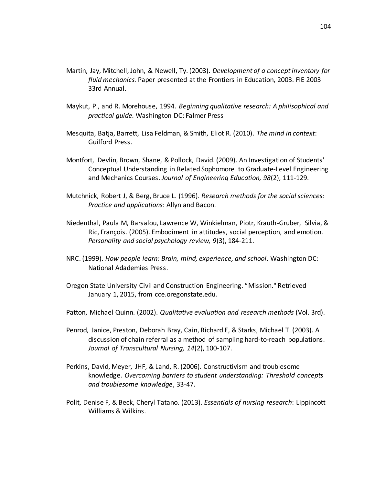- Martin, Jay, Mitchell, John, & Newell, Ty. (2003). *Development of a concept inventory for fluid mechanics.* Paper presented at the Frontiers in Education, 2003. FIE 2003 33rd Annual.
- Maykut, P., and R. Morehouse, 1994. *Beginning qualitative research: A philisophical and practical guide.* Washington DC: Falmer Press
- Mesquita, Batja, Barrett, Lisa Feldman, & Smith, Eliot R. (2010). *The mind in context*: Guilford Press.
- Montfort, Devlin, Brown, Shane, & Pollock, David. (2009). An Investigation of Students' Conceptual Understanding in Related Sophomore to Graduate‐Level Engineering and Mechanics Courses. *Journal of Engineering Education, 98*(2), 111-129.
- Mutchnick, Robert J, & Berg, Bruce L. (1996). *Research methods for the social sciences: Practice and applications*: Allyn and Bacon.
- Niedenthal, Paula M, Barsalou, Lawrence W, Winkielman, Piotr, Krauth-Gruber, Silvia, & Ric, François. (2005). Embodiment in attitudes, social perception, and emotion. *Personality and social psychology review, 9*(3), 184-211.
- NRC. (1999). *How people learn: Brain, mind, experience, and school*. Washington DC: National Adademies Press.
- Oregon State University Civil and Construction Engineering. "Mission." Retrieved January 1, 2015, from cce.oregonstate.edu.
- Patton, Michael Quinn. (2002). *Qualitative evaluation and research methods* (Vol. 3rd).
- Penrod, Janice, Preston, Deborah Bray, Cain, Richard E, & Starks, Michael T. (2003). A discussion of chain referral as a method of sampling hard-to-reach populations. *Journal of Transcultural Nursing, 14*(2), 100-107.
- Perkins, David, Meyer, JHF, & Land, R. (2006). Constructivism and troublesome knowledge. *Overcoming barriers to student understanding: Threshold concepts and troublesome knowledge*, 33-47.
- Polit, Denise F, & Beck, Cheryl Tatano. (2013). *Essentials of nursing research*: Lippincott Williams & Wilkins.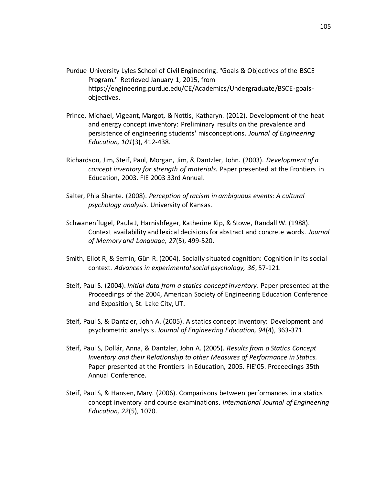- Purdue University Lyles School of Civil Engineering. "Goals & Objectives of the BSCE Program." Retrieved January 1, 2015, from https://engineering.purdue.edu/CE/Academics/Undergraduate/BSCE-goalsobjectives.
- Prince, Michael, Vigeant, Margot, & Nottis, Katharyn. (2012). Development of the heat and energy concept inventory: Preliminary results on the prevalence and persistence of engineering students' misconceptions. *Journal of Engineering Education, 101*(3), 412-438.
- Richardson, Jim, Steif, Paul, Morgan, Jim, & Dantzler, John. (2003). *Development of a concept inventory for strength of materials.* Paper presented at the Frontiers in Education, 2003. FIE 2003 33rd Annual.
- Salter, Phia Shante. (2008). *Perception of racism in ambiguous events: A cultural psychology analysis.* University of Kansas.
- Schwanenflugel, Paula J, Harnishfeger, Katherine Kip, & Stowe, Randall W. (1988). Context availability and lexical decisions for abstract and concrete words. *Journal of Memory and Language, 27*(5), 499-520.
- Smith, Eliot R, & Semin, Gün R. (2004). Socially situated cognition: Cognition in its social context. *Advances in experimental social psychology, 36*, 57-121.
- Steif, Paul S. (2004). *Initial data from a statics concept inventory.* Paper presented at the Proceedings of the 2004, American Society of Engineering Education Conference and Exposition, St. Lake City, UT.
- Steif, Paul S, & Dantzler, John A. (2005). A statics concept inventory: Development and psychometric analysis. *Journal of Engineering Education, 94*(4), 363-371.
- Steif, Paul S, Dollár, Anna, & Dantzler, John A. (2005). *Results from a Statics Concept Inventory and their Relationship to other Measures of Performance in Statics.* Paper presented at the Frontiers in Education, 2005. FIE'05. Proceedings 35th Annual Conference.
- Steif, Paul S, & Hansen, Mary. (2006). Comparisons between performances in a statics concept inventory and course examinations. *International Journal of Engineering Education, 22*(5), 1070.